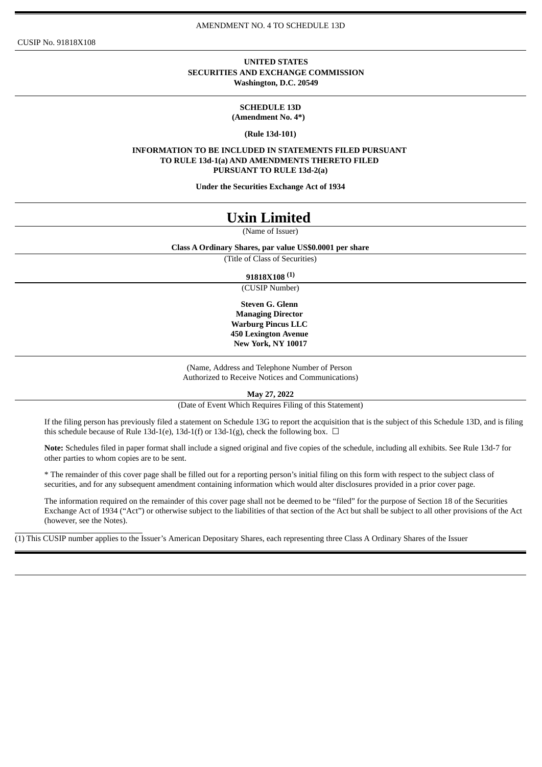CUSIP No. 91818X108

#### **UNITED STATES SECURITIES AND EXCHANGE COMMISSION Washington, D.C. 20549**

**SCHEDULE 13D (Amendment No. 4\*)**

**(Rule 13d-101)**

**INFORMATION TO BE INCLUDED IN STATEMENTS FILED PURSUANT TO RULE 13d-1(a) AND AMENDMENTS THERETO FILED PURSUANT TO RULE 13d-2(a)**

**Under the Securities Exchange Act of 1934**

# **Uxin Limited**

(Name of Issuer)

#### **Class A Ordinary Shares, par value US\$0.0001 per share**

(Title of Class of Securities)

### **91818X108 (1)**

(CUSIP Number)

**Steven G. Glenn Managing Director Warburg Pincus LLC 450 Lexington Avenue New York, NY 10017**

(Name, Address and Telephone Number of Person Authorized to Receive Notices and Communications)

**May 27, 2022**

(Date of Event Which Requires Filing of this Statement)

If the filing person has previously filed a statement on Schedule 13G to report the acquisition that is the subject of this Schedule 13D, and is filing this schedule because of Rule 13d-1(e), 13d-1(f) or 13d-1(g), check the following box.  $\Box$ 

**Note:** Schedules filed in paper format shall include a signed original and five copies of the schedule, including all exhibits. See Rule 13d-7 for other parties to whom copies are to be sent.

\* The remainder of this cover page shall be filled out for a reporting person's initial filing on this form with respect to the subject class of securities, and for any subsequent amendment containing information which would alter disclosures provided in a prior cover page.

The information required on the remainder of this cover page shall not be deemed to be "filed" for the purpose of Section 18 of the Securities Exchange Act of 1934 ("Act") or otherwise subject to the liabilities of that section of the Act but shall be subject to all other provisions of the Act (however, see the Notes).

(1) This CUSIP number applies to the Issuer's American Depositary Shares, each representing three Class A Ordinary Shares of the Issuer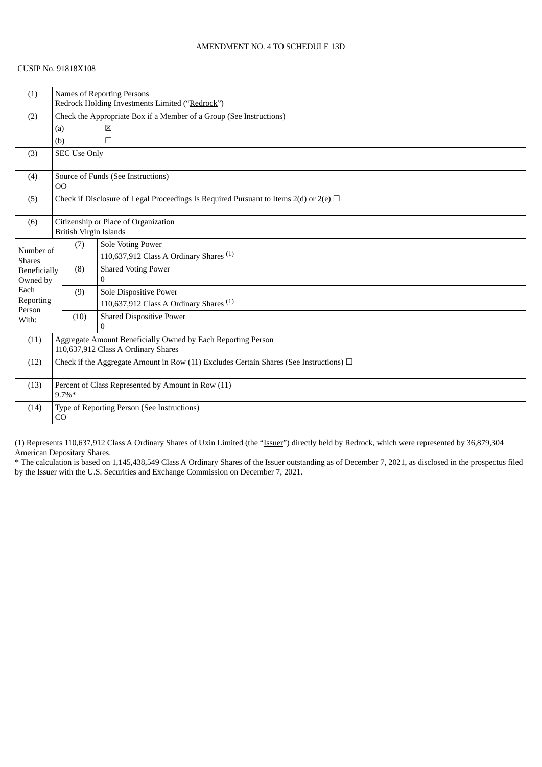### CUSIP No. 91818X108

| (1)                 |                                                                                                | <b>Names of Reporting Persons</b>                                   |                                                    |  |  |  |
|---------------------|------------------------------------------------------------------------------------------------|---------------------------------------------------------------------|----------------------------------------------------|--|--|--|
|                     |                                                                                                | Redrock Holding Investments Limited ("Redrock")                     |                                                    |  |  |  |
| (2)                 |                                                                                                | Check the Appropriate Box if a Member of a Group (See Instructions) |                                                    |  |  |  |
|                     | (a)                                                                                            |                                                                     | ⊠                                                  |  |  |  |
|                     | (b)                                                                                            |                                                                     | $\Box$                                             |  |  |  |
| (3)                 |                                                                                                | <b>SEC Use Only</b>                                                 |                                                    |  |  |  |
| (4)                 | O <sub>O</sub>                                                                                 |                                                                     | Source of Funds (See Instructions)                 |  |  |  |
| (5)                 | Check if Disclosure of Legal Proceedings Is Required Pursuant to Items $2(d)$ or $2(e)$ $\Box$ |                                                                     |                                                    |  |  |  |
| (6)                 |                                                                                                | Citizenship or Place of Organization                                |                                                    |  |  |  |
|                     |                                                                                                | <b>British Virgin Islands</b>                                       |                                                    |  |  |  |
| Number of           |                                                                                                | (7)                                                                 | Sole Voting Power                                  |  |  |  |
| <b>Shares</b>       |                                                                                                |                                                                     | 110,637,912 Class A Ordinary Shares $(1)$          |  |  |  |
| Beneficially        |                                                                                                | (8)                                                                 | <b>Shared Voting Power</b>                         |  |  |  |
| Owned by            |                                                                                                |                                                                     | $\theta$                                           |  |  |  |
| Each                |                                                                                                | (9)                                                                 | Sole Dispositive Power                             |  |  |  |
| Reporting<br>Person |                                                                                                |                                                                     | 110,637,912 Class A Ordinary Shares <sup>(1)</sup> |  |  |  |
| With:               |                                                                                                | (10)                                                                | <b>Shared Dispositive Power</b>                    |  |  |  |
|                     |                                                                                                |                                                                     | $\Omega$                                           |  |  |  |
| (11)                | Aggregate Amount Beneficially Owned by Each Reporting Person                                   |                                                                     |                                                    |  |  |  |
|                     | 110,637,912 Class A Ordinary Shares                                                            |                                                                     |                                                    |  |  |  |
| (12)                | Check if the Aggregate Amount in Row (11) Excludes Certain Shares (See Instructions) $\Box$    |                                                                     |                                                    |  |  |  |
| (13)                | Percent of Class Represented by Amount in Row (11)                                             |                                                                     |                                                    |  |  |  |
|                     |                                                                                                | $9.7\%*$                                                            |                                                    |  |  |  |
| (14)                |                                                                                                |                                                                     | Type of Reporting Person (See Instructions)        |  |  |  |
| CO                  |                                                                                                |                                                                     |                                                    |  |  |  |

(1) Represents 110,637,912 Class A Ordinary Shares of Uxin Limited (the "Issuer") directly held by Redrock, which were represented by 36,879,304 American Depositary Shares.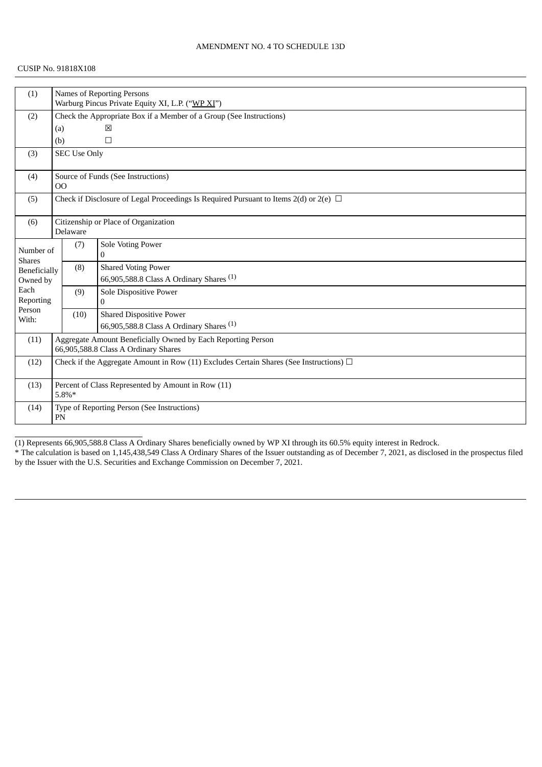### CUSIP No. 91818X108

| (1)                        |                                                                                                      | <b>Names of Reporting Persons</b>                |                                                     |  |  |  |  |
|----------------------------|------------------------------------------------------------------------------------------------------|--------------------------------------------------|-----------------------------------------------------|--|--|--|--|
|                            |                                                                                                      | Warburg Pincus Private Equity XI, L.P. ("WP XI") |                                                     |  |  |  |  |
| (2)                        | Check the Appropriate Box if a Member of a Group (See Instructions)                                  |                                                  |                                                     |  |  |  |  |
|                            | (a)                                                                                                  |                                                  | 図                                                   |  |  |  |  |
|                            | (b)                                                                                                  |                                                  | $\Box$                                              |  |  |  |  |
| (3)                        |                                                                                                      | <b>SEC Use Only</b>                              |                                                     |  |  |  |  |
| (4)                        | O <sub>O</sub>                                                                                       |                                                  | Source of Funds (See Instructions)                  |  |  |  |  |
| (5)                        | Check if Disclosure of Legal Proceedings Is Required Pursuant to Items 2(d) or 2(e) $\Box$           |                                                  |                                                     |  |  |  |  |
| (6)                        |                                                                                                      | Delaware                                         | Citizenship or Place of Organization                |  |  |  |  |
| Number of<br><b>Shares</b> |                                                                                                      | (7)                                              | Sole Voting Power<br>0                              |  |  |  |  |
| Beneficially               |                                                                                                      | (8)                                              | <b>Shared Voting Power</b>                          |  |  |  |  |
| Owned by                   |                                                                                                      |                                                  | 66,905,588.8 Class A Ordinary Shares <sup>(1)</sup> |  |  |  |  |
| Each                       |                                                                                                      | (9)                                              | Sole Dispositive Power                              |  |  |  |  |
| Reporting<br>Person        |                                                                                                      |                                                  | $\mathbf{0}$                                        |  |  |  |  |
| With:                      |                                                                                                      | (10)                                             | <b>Shared Dispositive Power</b>                     |  |  |  |  |
|                            |                                                                                                      |                                                  | 66,905,588.8 Class A Ordinary Shares <sup>(1)</sup> |  |  |  |  |
| (11)                       | Aggregate Amount Beneficially Owned by Each Reporting Person<br>66,905,588.8 Class A Ordinary Shares |                                                  |                                                     |  |  |  |  |
| (12)                       | Check if the Aggregate Amount in Row (11) Excludes Certain Shares (See Instructions) $\Box$          |                                                  |                                                     |  |  |  |  |
| (13)                       | Percent of Class Represented by Amount in Row (11)<br>$5.8\%*$                                       |                                                  |                                                     |  |  |  |  |
| (14)                       | Type of Reporting Person (See Instructions)<br>${\rm PN}$                                            |                                                  |                                                     |  |  |  |  |

(1) Represents 66,905,588.8 Class A Ordinary Shares beneficially owned by WP XI through its 60.5% equity interest in Redrock.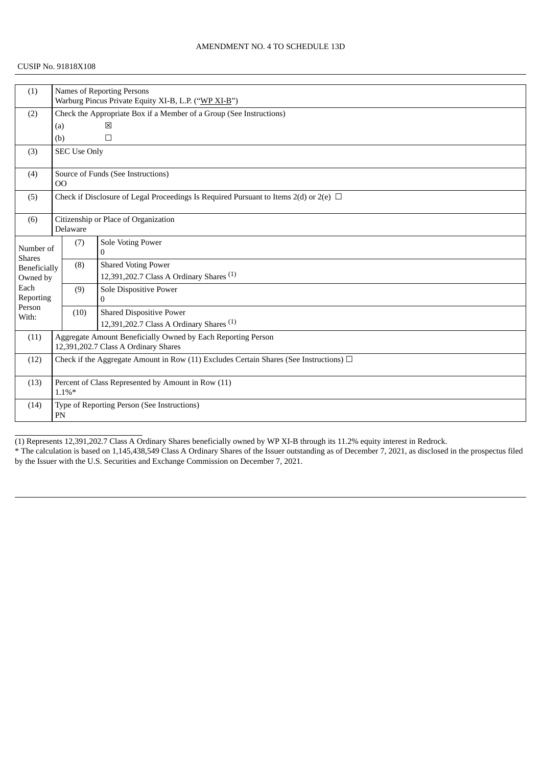| (1)                        |                                                                                                      |                                                                     | <b>Names of Reporting Persons</b>                   |  |  |  |
|----------------------------|------------------------------------------------------------------------------------------------------|---------------------------------------------------------------------|-----------------------------------------------------|--|--|--|
|                            |                                                                                                      | Warburg Pincus Private Equity XI-B, L.P. ("WP XI-B")                |                                                     |  |  |  |
| (2)                        |                                                                                                      | Check the Appropriate Box if a Member of a Group (See Instructions) |                                                     |  |  |  |
|                            | 区<br>(a)                                                                                             |                                                                     |                                                     |  |  |  |
|                            | (b)                                                                                                  |                                                                     | $\Box$                                              |  |  |  |
| (3)                        |                                                                                                      | <b>SEC Use Only</b>                                                 |                                                     |  |  |  |
| (4)                        | 00                                                                                                   |                                                                     | Source of Funds (See Instructions)                  |  |  |  |
| (5)                        | Check if Disclosure of Legal Proceedings Is Required Pursuant to Items 2(d) or 2(e) $\Box$           |                                                                     |                                                     |  |  |  |
| (6)                        | Citizenship or Place of Organization<br>Delaware                                                     |                                                                     |                                                     |  |  |  |
| Number of<br><b>Shares</b> |                                                                                                      | (7)                                                                 | Sole Voting Power<br>$\mathbf{0}$                   |  |  |  |
| Beneficially               |                                                                                                      | (8)                                                                 | <b>Shared Voting Power</b>                          |  |  |  |
| Owned by                   |                                                                                                      |                                                                     | 12,391,202.7 Class A Ordinary Shares <sup>(1)</sup> |  |  |  |
| Each<br>Reporting          |                                                                                                      | (9)                                                                 | Sole Dispositive Power<br>$\mathbf{0}$              |  |  |  |
| Person<br>With:            |                                                                                                      | (10)                                                                | <b>Shared Dispositive Power</b>                     |  |  |  |
|                            |                                                                                                      |                                                                     | 12,391,202.7 Class A Ordinary Shares <sup>(1)</sup> |  |  |  |
| (11)                       | Aggregate Amount Beneficially Owned by Each Reporting Person<br>12,391,202.7 Class A Ordinary Shares |                                                                     |                                                     |  |  |  |
| (12)                       | Check if the Aggregate Amount in Row (11) Excludes Certain Shares (See Instructions) $\Box$          |                                                                     |                                                     |  |  |  |
| (13)                       | Percent of Class Represented by Amount in Row (11)<br>$1.1\%*$                                       |                                                                     |                                                     |  |  |  |
| (14)                       | Type of Reporting Person (See Instructions)<br>PN                                                    |                                                                     |                                                     |  |  |  |

(1) Represents 12,391,202.7 Class A Ordinary Shares beneficially owned by WP XI-B through its 11.2% equity interest in Redrock.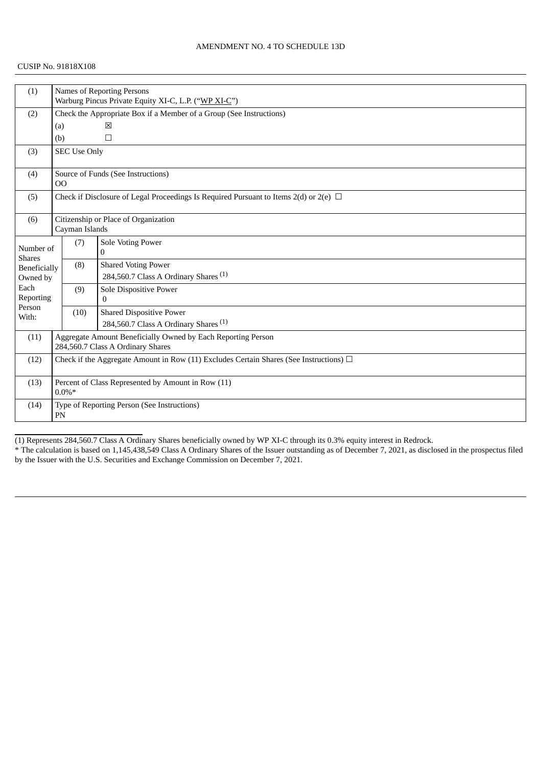| (1)                        | <b>Names of Reporting Persons</b>                                                                 |                                                                     |                                                  |  |  |  |  |
|----------------------------|---------------------------------------------------------------------------------------------------|---------------------------------------------------------------------|--------------------------------------------------|--|--|--|--|
|                            |                                                                                                   | Warburg Pincus Private Equity XI-C, L.P. ("WP XI-C")                |                                                  |  |  |  |  |
| (2)                        |                                                                                                   | Check the Appropriate Box if a Member of a Group (See Instructions) |                                                  |  |  |  |  |
|                            | (a)                                                                                               |                                                                     | 区                                                |  |  |  |  |
|                            | (b)                                                                                               |                                                                     | $\Box$                                           |  |  |  |  |
| (3)                        |                                                                                                   | <b>SEC Use Only</b>                                                 |                                                  |  |  |  |  |
| (4)                        | 00                                                                                                |                                                                     | Source of Funds (See Instructions)               |  |  |  |  |
| (5)                        | Check if Disclosure of Legal Proceedings Is Required Pursuant to Items 2(d) or 2(e) $\Box$        |                                                                     |                                                  |  |  |  |  |
| (6)                        |                                                                                                   | Cayman Islands                                                      | Citizenship or Place of Organization             |  |  |  |  |
| Number of<br><b>Shares</b> |                                                                                                   | (7)                                                                 | Sole Voting Power<br>$\Omega$                    |  |  |  |  |
| Beneficially               |                                                                                                   | (8)                                                                 | <b>Shared Voting Power</b>                       |  |  |  |  |
| Owned by                   |                                                                                                   |                                                                     | 284,560.7 Class A Ordinary Shares <sup>(1)</sup> |  |  |  |  |
| Each                       |                                                                                                   | (9)                                                                 | Sole Dispositive Power                           |  |  |  |  |
| Reporting<br>Person        |                                                                                                   |                                                                     | $\mathbf{0}$                                     |  |  |  |  |
| With:                      |                                                                                                   | (10)                                                                | <b>Shared Dispositive Power</b>                  |  |  |  |  |
|                            |                                                                                                   |                                                                     | 284,560.7 Class A Ordinary Shares <sup>(1)</sup> |  |  |  |  |
| (11)                       | Aggregate Amount Beneficially Owned by Each Reporting Person<br>284,560.7 Class A Ordinary Shares |                                                                     |                                                  |  |  |  |  |
| (12)                       | Check if the Aggregate Amount in Row (11) Excludes Certain Shares (See Instructions) $\Box$       |                                                                     |                                                  |  |  |  |  |
| (13)                       | Percent of Class Represented by Amount in Row (11)<br>$0.0\%*$                                    |                                                                     |                                                  |  |  |  |  |
| (14)                       | Type of Reporting Person (See Instructions)<br>PN                                                 |                                                                     |                                                  |  |  |  |  |

(1) Represents 284,560.7 Class A Ordinary Shares beneficially owned by WP XI-C through its 0.3% equity interest in Redrock.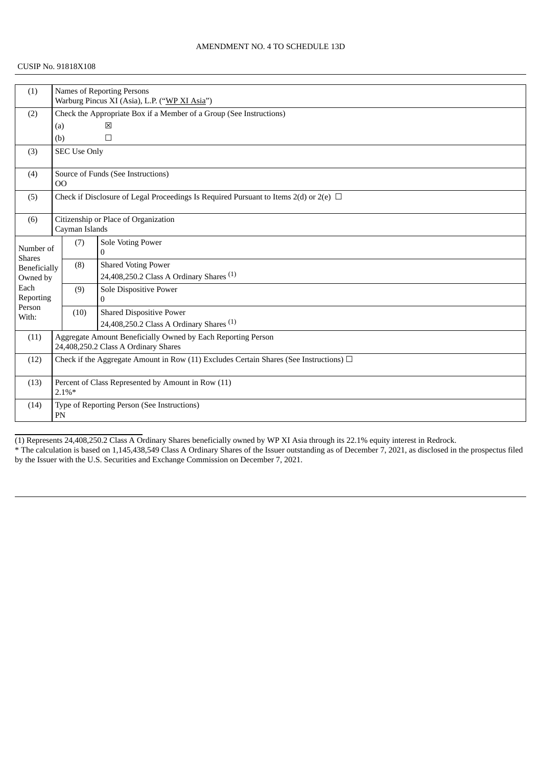| (1)                        |                                                                                                      | <b>Names of Reporting Persons</b>                                   |                                                     |  |  |  |  |
|----------------------------|------------------------------------------------------------------------------------------------------|---------------------------------------------------------------------|-----------------------------------------------------|--|--|--|--|
|                            |                                                                                                      | Warburg Pincus XI (Asia), L.P. ("WP XI Asia")                       |                                                     |  |  |  |  |
| (2)                        |                                                                                                      | Check the Appropriate Box if a Member of a Group (See Instructions) |                                                     |  |  |  |  |
|                            | 区<br>(a)                                                                                             |                                                                     |                                                     |  |  |  |  |
|                            | (b)                                                                                                  |                                                                     | $\Box$                                              |  |  |  |  |
| (3)                        |                                                                                                      | <b>SEC Use Only</b>                                                 |                                                     |  |  |  |  |
| (4)                        | 00                                                                                                   |                                                                     | Source of Funds (See Instructions)                  |  |  |  |  |
| (5)                        | Check if Disclosure of Legal Proceedings Is Required Pursuant to Items 2(d) or 2(e) $\Box$           |                                                                     |                                                     |  |  |  |  |
| (6)                        |                                                                                                      | Cayman Islands                                                      | Citizenship or Place of Organization                |  |  |  |  |
| Number of<br><b>Shares</b> |                                                                                                      | (7)                                                                 | Sole Voting Power<br>$\Omega$                       |  |  |  |  |
| Beneficially               |                                                                                                      | (8)                                                                 | <b>Shared Voting Power</b>                          |  |  |  |  |
| Owned by                   |                                                                                                      |                                                                     | 24,408,250.2 Class A Ordinary Shares <sup>(1)</sup> |  |  |  |  |
| Each<br>Reporting          |                                                                                                      | (9)                                                                 | Sole Dispositive Power<br>$\mathbf{0}$              |  |  |  |  |
| Person<br>With:            |                                                                                                      | (10)                                                                | <b>Shared Dispositive Power</b>                     |  |  |  |  |
|                            |                                                                                                      |                                                                     | 24,408,250.2 Class A Ordinary Shares <sup>(1)</sup> |  |  |  |  |
| (11)                       | Aggregate Amount Beneficially Owned by Each Reporting Person<br>24,408,250.2 Class A Ordinary Shares |                                                                     |                                                     |  |  |  |  |
| (12)                       | Check if the Aggregate Amount in Row (11) Excludes Certain Shares (See Instructions) $\Box$          |                                                                     |                                                     |  |  |  |  |
| (13)                       | Percent of Class Represented by Amount in Row (11)<br>$2.1\%*$                                       |                                                                     |                                                     |  |  |  |  |
| (14)                       |                                                                                                      | Type of Reporting Person (See Instructions)<br>PN                   |                                                     |  |  |  |  |

(1) Represents 24,408,250.2 Class A Ordinary Shares beneficially owned by WP XI Asia through its 22.1% equity interest in Redrock.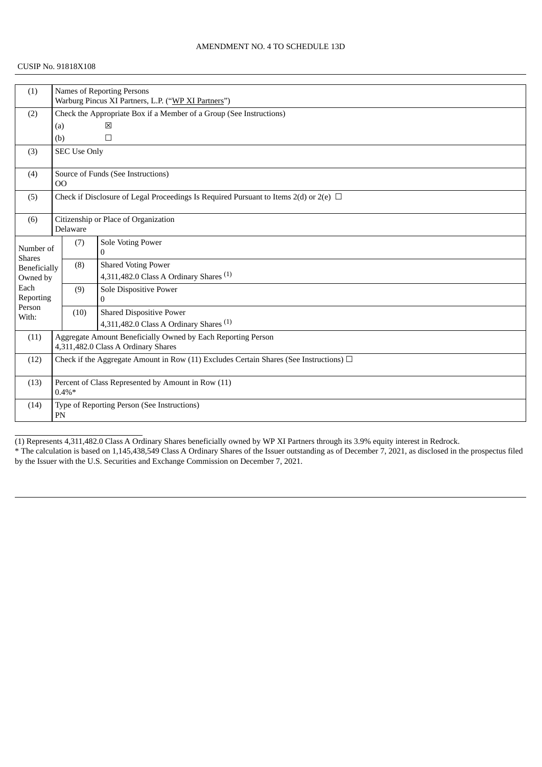### CUSIP No. 91818X108

| (1)                        |                                                                                             | Names of Reporting Persons                                          |                                                              |  |  |  |  |
|----------------------------|---------------------------------------------------------------------------------------------|---------------------------------------------------------------------|--------------------------------------------------------------|--|--|--|--|
|                            |                                                                                             | Warburg Pincus XI Partners, L.P. ("WP XI Partners")                 |                                                              |  |  |  |  |
| (2)                        |                                                                                             | Check the Appropriate Box if a Member of a Group (See Instructions) |                                                              |  |  |  |  |
|                            | (a)                                                                                         |                                                                     | 区                                                            |  |  |  |  |
|                            | (b)                                                                                         |                                                                     | $\Box$                                                       |  |  |  |  |
| (3)                        |                                                                                             | <b>SEC Use Only</b>                                                 |                                                              |  |  |  |  |
| (4)                        | O <sub>O</sub>                                                                              |                                                                     | Source of Funds (See Instructions)                           |  |  |  |  |
| (5)                        | Check if Disclosure of Legal Proceedings Is Required Pursuant to Items 2(d) or 2(e) $\Box$  |                                                                     |                                                              |  |  |  |  |
| (6)                        | Citizenship or Place of Organization<br>Delaware                                            |                                                                     |                                                              |  |  |  |  |
|                            |                                                                                             | (7)                                                                 | <b>Sole Voting Power</b>                                     |  |  |  |  |
| Number of<br><b>Shares</b> |                                                                                             |                                                                     | $\Omega$                                                     |  |  |  |  |
| Beneficially               |                                                                                             | (8)                                                                 | <b>Shared Voting Power</b>                                   |  |  |  |  |
| Owned by                   |                                                                                             |                                                                     | 4,311,482.0 Class A Ordinary Shares $(1)$                    |  |  |  |  |
| Each                       |                                                                                             | (9)                                                                 | Sole Dispositive Power                                       |  |  |  |  |
| Reporting<br>Person        |                                                                                             |                                                                     | $\mathbf{0}$                                                 |  |  |  |  |
| With:                      |                                                                                             | (10)                                                                | <b>Shared Dispositive Power</b>                              |  |  |  |  |
|                            |                                                                                             |                                                                     | 4,311,482.0 Class A Ordinary Shares $(1)$                    |  |  |  |  |
| (11)                       |                                                                                             |                                                                     | Aggregate Amount Beneficially Owned by Each Reporting Person |  |  |  |  |
|                            |                                                                                             | 4,311,482.0 Class A Ordinary Shares                                 |                                                              |  |  |  |  |
| (12)                       | Check if the Aggregate Amount in Row (11) Excludes Certain Shares (See Instructions) $\Box$ |                                                                     |                                                              |  |  |  |  |
| (13)                       | Percent of Class Represented by Amount in Row (11)<br>$0.4\%*$                              |                                                                     |                                                              |  |  |  |  |
| (14)                       | Type of Reporting Person (See Instructions)<br>PN                                           |                                                                     |                                                              |  |  |  |  |

(1) Represents 4,311,482.0 Class A Ordinary Shares beneficially owned by WP XI Partners through its 3.9% equity interest in Redrock.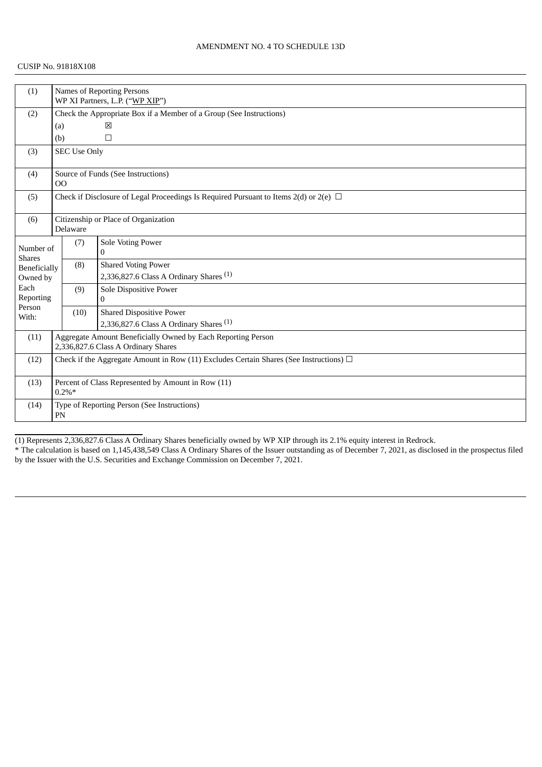### CUSIP No. 91818X108

| (1)                                                                  |                                                                                             | Names of Reporting Persons                                          |                                                                                            |  |  |  |
|----------------------------------------------------------------------|---------------------------------------------------------------------------------------------|---------------------------------------------------------------------|--------------------------------------------------------------------------------------------|--|--|--|
|                                                                      |                                                                                             | WP XI Partners, L.P. ("WP XIP")                                     |                                                                                            |  |  |  |
| (2)                                                                  |                                                                                             | Check the Appropriate Box if a Member of a Group (See Instructions) |                                                                                            |  |  |  |
|                                                                      | 図<br>(a)                                                                                    |                                                                     |                                                                                            |  |  |  |
|                                                                      | (b)                                                                                         |                                                                     | $\Box$                                                                                     |  |  |  |
| (3)                                                                  |                                                                                             | <b>SEC Use Only</b>                                                 |                                                                                            |  |  |  |
| (4)                                                                  | 00                                                                                          |                                                                     | Source of Funds (See Instructions)                                                         |  |  |  |
| (5)                                                                  |                                                                                             |                                                                     | Check if Disclosure of Legal Proceedings Is Required Pursuant to Items 2(d) or 2(e) $\Box$ |  |  |  |
| (6)                                                                  |                                                                                             | Delaware                                                            | Citizenship or Place of Organization                                                       |  |  |  |
| Number of                                                            |                                                                                             | (7)                                                                 | Sole Voting Power                                                                          |  |  |  |
| <b>Shares</b>                                                        |                                                                                             |                                                                     | $\mathbf{0}$                                                                               |  |  |  |
| Beneficially                                                         |                                                                                             | (8)                                                                 | <b>Shared Voting Power</b>                                                                 |  |  |  |
| Owned by                                                             |                                                                                             |                                                                     | 2,336,827.6 Class A Ordinary Shares $(1)$                                                  |  |  |  |
| Each                                                                 |                                                                                             | (9)                                                                 | Sole Dispositive Power                                                                     |  |  |  |
| Reporting<br>Person                                                  |                                                                                             |                                                                     | $\bf{0}$                                                                                   |  |  |  |
| With:                                                                |                                                                                             | (10)                                                                | <b>Shared Dispositive Power</b>                                                            |  |  |  |
|                                                                      |                                                                                             |                                                                     | 2,336,827.6 Class A Ordinary Shares $(1)$                                                  |  |  |  |
| Aggregate Amount Beneficially Owned by Each Reporting Person<br>(11) |                                                                                             |                                                                     |                                                                                            |  |  |  |
|                                                                      |                                                                                             | 2,336,827.6 Class A Ordinary Shares                                 |                                                                                            |  |  |  |
| (12)                                                                 | Check if the Aggregate Amount in Row (11) Excludes Certain Shares (See Instructions) $\Box$ |                                                                     |                                                                                            |  |  |  |
| (13)                                                                 | Percent of Class Represented by Amount in Row (11)<br>$0.2\%*$                              |                                                                     |                                                                                            |  |  |  |
| (14)                                                                 | Type of Reporting Person (See Instructions)<br>PN                                           |                                                                     |                                                                                            |  |  |  |

(1) Represents 2,336,827.6 Class A Ordinary Shares beneficially owned by WP XIP through its 2.1% equity interest in Redrock.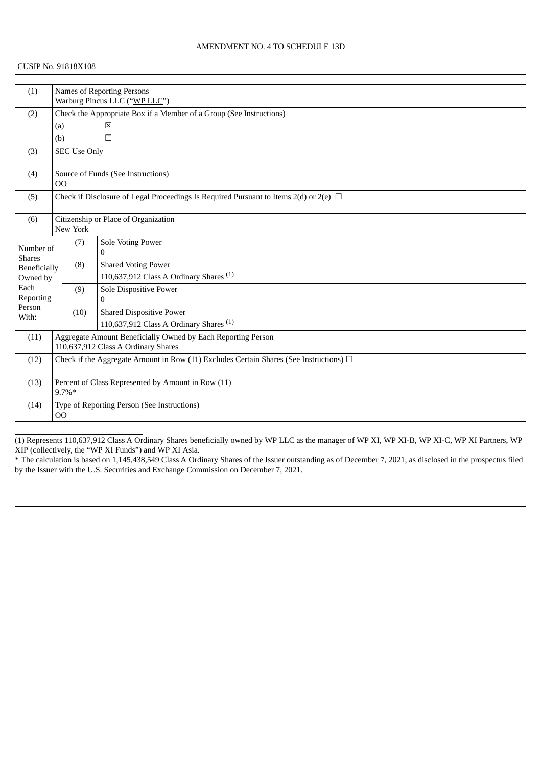### CUSIP No. 91818X108

| (1)                           |                                                                                                     | Names of Reporting Persons    |                                                    |  |  |  |
|-------------------------------|-----------------------------------------------------------------------------------------------------|-------------------------------|----------------------------------------------------|--|--|--|
|                               |                                                                                                     | Warburg Pincus LLC ("WP LLC") |                                                    |  |  |  |
| (2)                           | Check the Appropriate Box if a Member of a Group (See Instructions)                                 |                               |                                                    |  |  |  |
|                               | (a)                                                                                                 |                               | 図                                                  |  |  |  |
|                               | (b)                                                                                                 |                               | $\Box$                                             |  |  |  |
| (3)                           |                                                                                                     | <b>SEC Use Only</b>           |                                                    |  |  |  |
| (4)                           | O <sub>O</sub>                                                                                      |                               | Source of Funds (See Instructions)                 |  |  |  |
| (5)                           | Check if Disclosure of Legal Proceedings Is Required Pursuant to Items 2(d) or 2(e) $\Box$          |                               |                                                    |  |  |  |
| (6)                           |                                                                                                     | New York                      | Citizenship or Place of Organization               |  |  |  |
| Number of                     |                                                                                                     | (7)                           | Sole Voting Power<br>$\Omega$                      |  |  |  |
| <b>Shares</b><br>Beneficially |                                                                                                     | (8)                           | <b>Shared Voting Power</b>                         |  |  |  |
| Owned by                      |                                                                                                     |                               | 110,637,912 Class A Ordinary Shares <sup>(1)</sup> |  |  |  |
| Each                          |                                                                                                     | (9)                           | Sole Dispositive Power                             |  |  |  |
| Reporting                     |                                                                                                     |                               | $\mathbf{0}$                                       |  |  |  |
| Person<br>With:               |                                                                                                     | (10)                          | <b>Shared Dispositive Power</b>                    |  |  |  |
|                               |                                                                                                     |                               | 110,637,912 Class A Ordinary Shares $(1)$          |  |  |  |
| (11)                          | Aggregate Amount Beneficially Owned by Each Reporting Person<br>110,637,912 Class A Ordinary Shares |                               |                                                    |  |  |  |
| (12)                          | Check if the Aggregate Amount in Row (11) Excludes Certain Shares (See Instructions) $\Box$         |                               |                                                    |  |  |  |
| (13)                          | Percent of Class Represented by Amount in Row (11)<br>$9.7\%*$                                      |                               |                                                    |  |  |  |
| (14)                          | Type of Reporting Person (See Instructions)<br>$_{\rm OO}$                                          |                               |                                                    |  |  |  |

(1) Represents 110,637,912 Class A Ordinary Shares beneficially owned by WP LLC as the manager of WP XI, WP XI-B, WP XI-C, WP XI Partners, WP XIP (collectively, the "WP XI Funds") and WP XI Asia.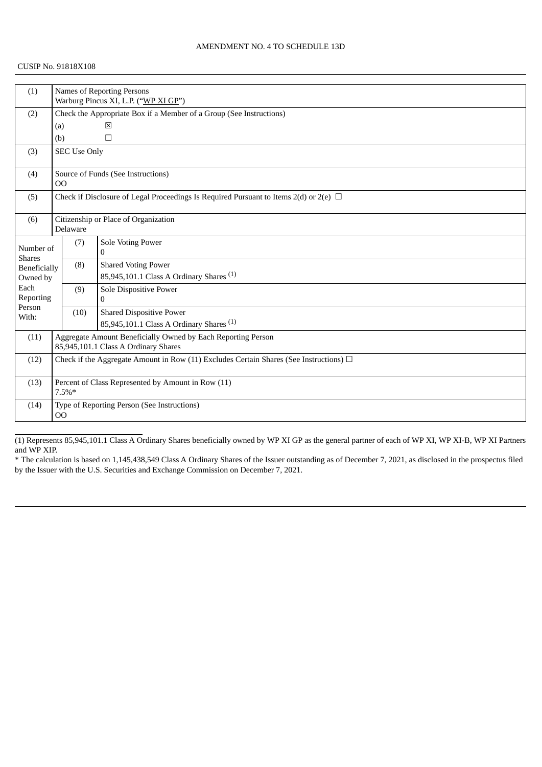#### CUSIP No. 91818X108

| (1)                        |                                                                                                      | <b>Names of Reporting Persons</b>                                   |                                                                                   |  |  |  |  |
|----------------------------|------------------------------------------------------------------------------------------------------|---------------------------------------------------------------------|-----------------------------------------------------------------------------------|--|--|--|--|
|                            |                                                                                                      | Warburg Pincus XI, L.P. ("WP XI GP")                                |                                                                                   |  |  |  |  |
| (2)                        |                                                                                                      | Check the Appropriate Box if a Member of a Group (See Instructions) |                                                                                   |  |  |  |  |
|                            |                                                                                                      | X<br>(a)                                                            |                                                                                   |  |  |  |  |
|                            | (b)                                                                                                  |                                                                     | $\Box$                                                                            |  |  |  |  |
| (3)                        |                                                                                                      | <b>SEC Use Only</b>                                                 |                                                                                   |  |  |  |  |
| (4)                        | O <sub>O</sub>                                                                                       |                                                                     | Source of Funds (See Instructions)                                                |  |  |  |  |
| (5)                        | Check if Disclosure of Legal Proceedings Is Required Pursuant to Items 2(d) or 2(e) $\Box$           |                                                                     |                                                                                   |  |  |  |  |
| (6)                        | Citizenship or Place of Organization<br>Delaware                                                     |                                                                     |                                                                                   |  |  |  |  |
| Number of<br><b>Shares</b> |                                                                                                      | (7)                                                                 | Sole Voting Power<br>$\mathbf{0}$                                                 |  |  |  |  |
| Beneficially<br>Owned by   |                                                                                                      | (8)                                                                 | <b>Shared Voting Power</b><br>85,945,101.1 Class A Ordinary Shares <sup>(1)</sup> |  |  |  |  |
| Each<br>Reporting          |                                                                                                      | (9)                                                                 | Sole Dispositive Power<br>$\mathbf{0}$                                            |  |  |  |  |
| Person<br>With:            |                                                                                                      | (10)                                                                | <b>Shared Dispositive Power</b>                                                   |  |  |  |  |
|                            |                                                                                                      |                                                                     | 85,945,101.1 Class A Ordinary Shares <sup>(1)</sup>                               |  |  |  |  |
| (11)                       | Aggregate Amount Beneficially Owned by Each Reporting Person<br>85,945,101.1 Class A Ordinary Shares |                                                                     |                                                                                   |  |  |  |  |
| (12)                       | Check if the Aggregate Amount in Row (11) Excludes Certain Shares (See Instructions) $\Box$          |                                                                     |                                                                                   |  |  |  |  |
| (13)                       | Percent of Class Represented by Amount in Row (11)<br>7.5%*                                          |                                                                     |                                                                                   |  |  |  |  |
| (14)                       | Type of Reporting Person (See Instructions)<br>$_{\rm OO}$                                           |                                                                     |                                                                                   |  |  |  |  |

(1) Represents 85,945,101.1 Class A Ordinary Shares beneficially owned by WP XI GP as the general partner of each of WP XI, WP XI-B, WP XI Partners and WP XIP.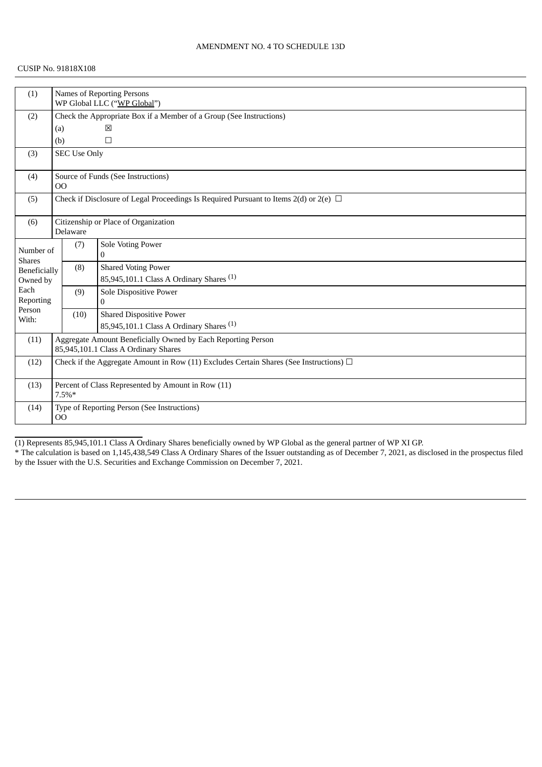### CUSIP No. 91818X108

| (1)                        | <b>Names of Reporting Persons</b><br>WP Global LLC ("WP Global")                                     |                     |                                                     |  |  |
|----------------------------|------------------------------------------------------------------------------------------------------|---------------------|-----------------------------------------------------|--|--|
| (2)                        | Check the Appropriate Box if a Member of a Group (See Instructions)                                  |                     |                                                     |  |  |
|                            | (a)                                                                                                  |                     | 図                                                   |  |  |
|                            | (b)                                                                                                  |                     | $\Box$                                              |  |  |
| (3)                        |                                                                                                      | <b>SEC Use Only</b> |                                                     |  |  |
| (4)                        | O <sub>O</sub>                                                                                       |                     | Source of Funds (See Instructions)                  |  |  |
| (5)                        | Check if Disclosure of Legal Proceedings Is Required Pursuant to Items 2(d) or 2(e) $\Box$           |                     |                                                     |  |  |
| (6)                        |                                                                                                      | Delaware            | Citizenship or Place of Organization                |  |  |
| Number of<br><b>Shares</b> |                                                                                                      | (7)                 | Sole Voting Power<br>$\mathbf{0}$                   |  |  |
| Beneficially               |                                                                                                      | (8)                 | <b>Shared Voting Power</b>                          |  |  |
| Owned by                   |                                                                                                      |                     | 85,945,101.1 Class A Ordinary Shares <sup>(1)</sup> |  |  |
| Each                       |                                                                                                      | (9)                 | Sole Dispositive Power                              |  |  |
| Reporting                  |                                                                                                      |                     | $\mathbf{0}$                                        |  |  |
| Person<br>With:            |                                                                                                      | (10)                | <b>Shared Dispositive Power</b>                     |  |  |
|                            |                                                                                                      |                     | 85,945,101.1 Class A Ordinary Shares <sup>(1)</sup> |  |  |
| (11)                       | Aggregate Amount Beneficially Owned by Each Reporting Person<br>85,945,101.1 Class A Ordinary Shares |                     |                                                     |  |  |
| (12)                       | Check if the Aggregate Amount in Row (11) Excludes Certain Shares (See Instructions) $\Box$          |                     |                                                     |  |  |
| (13)                       | Percent of Class Represented by Amount in Row (11)<br>$7.5\%*$                                       |                     |                                                     |  |  |
| (14)                       | Type of Reporting Person (See Instructions)<br>O <sub>O</sub>                                        |                     |                                                     |  |  |

(1) Represents 85,945,101.1 Class A Ordinary Shares beneficially owned by WP Global as the general partner of WP XI GP.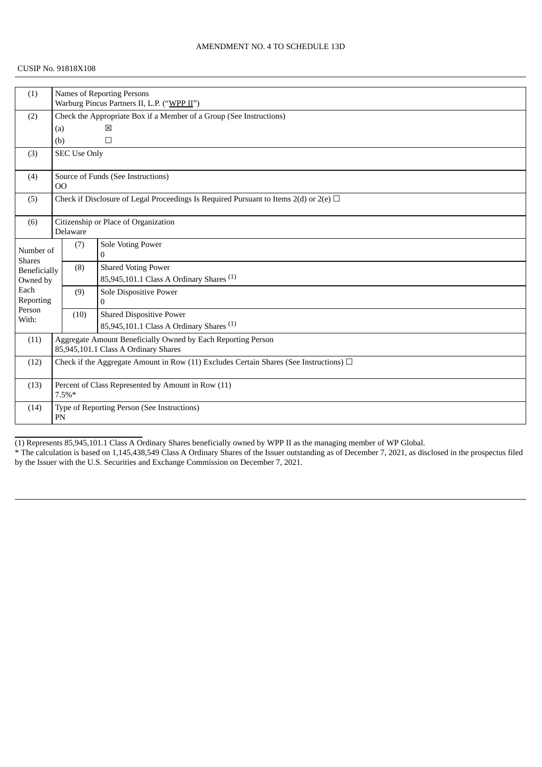### CUSIP No. 91818X108

| (1)             |                                                                                             | Names of Reporting Persons<br>Warburg Pincus Partners II, L.P. ("WPP II") |                                                              |  |  |  |
|-----------------|---------------------------------------------------------------------------------------------|---------------------------------------------------------------------------|--------------------------------------------------------------|--|--|--|
| (2)             | Check the Appropriate Box if a Member of a Group (See Instructions)                         |                                                                           |                                                              |  |  |  |
|                 | 図<br>(a)                                                                                    |                                                                           |                                                              |  |  |  |
|                 | (b)                                                                                         |                                                                           | $\Box$                                                       |  |  |  |
| (3)             |                                                                                             | <b>SEC Use Only</b>                                                       |                                                              |  |  |  |
|                 |                                                                                             |                                                                           |                                                              |  |  |  |
| (4)             |                                                                                             |                                                                           | Source of Funds (See Instructions)                           |  |  |  |
|                 | 00                                                                                          |                                                                           |                                                              |  |  |  |
| (5)             | Check if Disclosure of Legal Proceedings Is Required Pursuant to Items 2(d) or 2(e) $\Box$  |                                                                           |                                                              |  |  |  |
| (6)             |                                                                                             | Citizenship or Place of Organization                                      |                                                              |  |  |  |
|                 |                                                                                             | Delaware                                                                  |                                                              |  |  |  |
| Number of       |                                                                                             | (7)                                                                       | Sole Voting Power                                            |  |  |  |
| <b>Shares</b>   |                                                                                             |                                                                           | 0                                                            |  |  |  |
| Beneficially    |                                                                                             | (8)                                                                       | <b>Shared Voting Power</b>                                   |  |  |  |
| Owned by        |                                                                                             |                                                                           | 85,945,101.1 Class A Ordinary Shares <sup>(1)</sup>          |  |  |  |
| Each            |                                                                                             | (9)                                                                       | Sole Dispositive Power                                       |  |  |  |
| Reporting       |                                                                                             |                                                                           | 0                                                            |  |  |  |
| Person<br>With: |                                                                                             | (10)                                                                      | <b>Shared Dispositive Power</b>                              |  |  |  |
|                 |                                                                                             |                                                                           | 85,945,101.1 Class A Ordinary Shares <sup>(1)</sup>          |  |  |  |
| (11)            |                                                                                             |                                                                           | Aggregate Amount Beneficially Owned by Each Reporting Person |  |  |  |
|                 |                                                                                             |                                                                           | 85,945,101.1 Class A Ordinary Shares                         |  |  |  |
| (12)            | Check if the Aggregate Amount in Row (11) Excludes Certain Shares (See Instructions) $\Box$ |                                                                           |                                                              |  |  |  |
|                 |                                                                                             |                                                                           |                                                              |  |  |  |
| (13)            |                                                                                             | Percent of Class Represented by Amount in Row (11)                        |                                                              |  |  |  |
|                 |                                                                                             | $7.5\%*$                                                                  |                                                              |  |  |  |
| (14)            |                                                                                             |                                                                           | Type of Reporting Person (See Instructions)                  |  |  |  |
|                 | PN                                                                                          |                                                                           |                                                              |  |  |  |

(1) Represents 85,945,101.1 Class A Ordinary Shares beneficially owned by WPP II as the managing member of WP Global.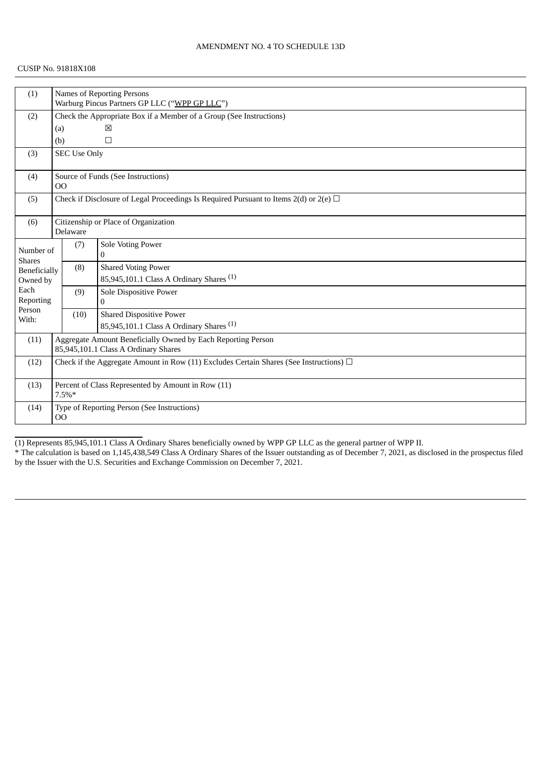### CUSIP No. 91818X108

| (1)                        | <b>Names of Reporting Persons</b>                                                                    |                                                                     |                                                     |  |  |  |
|----------------------------|------------------------------------------------------------------------------------------------------|---------------------------------------------------------------------|-----------------------------------------------------|--|--|--|
|                            |                                                                                                      | Warburg Pincus Partners GP LLC ("WPP GP LLC")                       |                                                     |  |  |  |
| (2)                        |                                                                                                      | Check the Appropriate Box if a Member of a Group (See Instructions) |                                                     |  |  |  |
|                            | (a)                                                                                                  |                                                                     | 区                                                   |  |  |  |
|                            | (b)                                                                                                  |                                                                     | $\Box$                                              |  |  |  |
| (3)                        |                                                                                                      | <b>SEC Use Only</b>                                                 |                                                     |  |  |  |
| (4)                        | O <sub>O</sub>                                                                                       |                                                                     | Source of Funds (See Instructions)                  |  |  |  |
| (5)                        | Check if Disclosure of Legal Proceedings Is Required Pursuant to Items $2(d)$ or $2(e)$ $\Box$       |                                                                     |                                                     |  |  |  |
| (6)                        | Citizenship or Place of Organization<br>Delaware                                                     |                                                                     |                                                     |  |  |  |
| Number of<br><b>Shares</b> |                                                                                                      | (7)                                                                 | Sole Voting Power<br>0                              |  |  |  |
| Beneficially               |                                                                                                      | (8)                                                                 | <b>Shared Voting Power</b>                          |  |  |  |
| Owned by                   |                                                                                                      |                                                                     | 85,945,101.1 Class A Ordinary Shares <sup>(1)</sup> |  |  |  |
| Each<br>Reporting          |                                                                                                      | (9)                                                                 | Sole Dispositive Power<br>$\mathbf{0}$              |  |  |  |
| Person<br>With:            |                                                                                                      | (10)                                                                | <b>Shared Dispositive Power</b>                     |  |  |  |
|                            |                                                                                                      |                                                                     | 85,945,101.1 Class A Ordinary Shares <sup>(1)</sup> |  |  |  |
| (11)                       | Aggregate Amount Beneficially Owned by Each Reporting Person<br>85,945,101.1 Class A Ordinary Shares |                                                                     |                                                     |  |  |  |
| (12)                       | Check if the Aggregate Amount in Row (11) Excludes Certain Shares (See Instructions) $\Box$          |                                                                     |                                                     |  |  |  |
| (13)                       | Percent of Class Represented by Amount in Row (11)<br>$7.5\%*$                                       |                                                                     |                                                     |  |  |  |
| (14)                       | Type of Reporting Person (See Instructions)<br>00                                                    |                                                                     |                                                     |  |  |  |

(1) Represents 85,945,101.1 Class A Ordinary Shares beneficially owned by WPP GP LLC as the general partner of WPP II.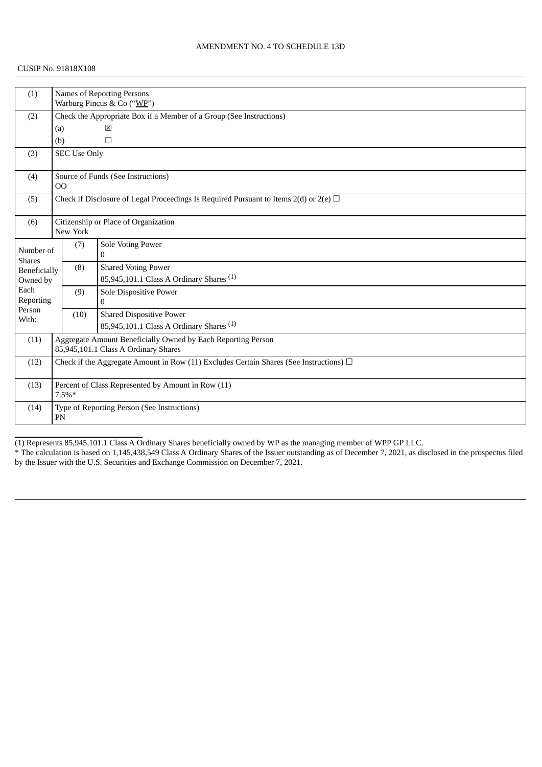### CUSIP No. 91818X108

| (1)                           |                                                                                                      | <b>Names of Reporting Persons</b><br>Warburg Pincus & Co ("WP")     |                                                     |  |  |  |  |
|-------------------------------|------------------------------------------------------------------------------------------------------|---------------------------------------------------------------------|-----------------------------------------------------|--|--|--|--|
| (2)                           |                                                                                                      | Check the Appropriate Box if a Member of a Group (See Instructions) |                                                     |  |  |  |  |
|                               | (a)                                                                                                  | 区                                                                   |                                                     |  |  |  |  |
|                               | (b)                                                                                                  |                                                                     | $\Box$                                              |  |  |  |  |
| (3)                           |                                                                                                      | <b>SEC Use Only</b>                                                 |                                                     |  |  |  |  |
|                               |                                                                                                      |                                                                     |                                                     |  |  |  |  |
| (4)                           | 00                                                                                                   |                                                                     | Source of Funds (See Instructions)                  |  |  |  |  |
| (5)                           | Check if Disclosure of Legal Proceedings Is Required Pursuant to Items $2(d)$ or $2(e)$ $\Box$       |                                                                     |                                                     |  |  |  |  |
| (6)                           | Citizenship or Place of Organization<br>New York                                                     |                                                                     |                                                     |  |  |  |  |
| Number of                     |                                                                                                      | (7)                                                                 | Sole Voting Power<br>0                              |  |  |  |  |
| <b>Shares</b><br>Beneficially |                                                                                                      | (8)                                                                 | <b>Shared Voting Power</b>                          |  |  |  |  |
| Owned by                      |                                                                                                      |                                                                     | 85,945,101.1 Class A Ordinary Shares <sup>(1)</sup> |  |  |  |  |
| Each                          |                                                                                                      | (9)                                                                 | Sole Dispositive Power                              |  |  |  |  |
| Reporting                     |                                                                                                      |                                                                     | $\Omega$                                            |  |  |  |  |
| Person<br>With:               |                                                                                                      | (10)                                                                | <b>Shared Dispositive Power</b>                     |  |  |  |  |
|                               |                                                                                                      |                                                                     | 85,945,101.1 Class A Ordinary Shares <sup>(1)</sup> |  |  |  |  |
| (11)                          | Aggregate Amount Beneficially Owned by Each Reporting Person<br>85,945,101.1 Class A Ordinary Shares |                                                                     |                                                     |  |  |  |  |
| (12)                          | Check if the Aggregate Amount in Row (11) Excludes Certain Shares (See Instructions) $\Box$          |                                                                     |                                                     |  |  |  |  |
| (13)                          | Percent of Class Represented by Amount in Row (11)<br>$7.5\%*$                                       |                                                                     |                                                     |  |  |  |  |
| (14)                          | Type of Reporting Person (See Instructions)<br>PN                                                    |                                                                     |                                                     |  |  |  |  |

(1) Represents 85,945,101.1 Class A Ordinary Shares beneficially owned by WP as the managing member of WPP GP LLC.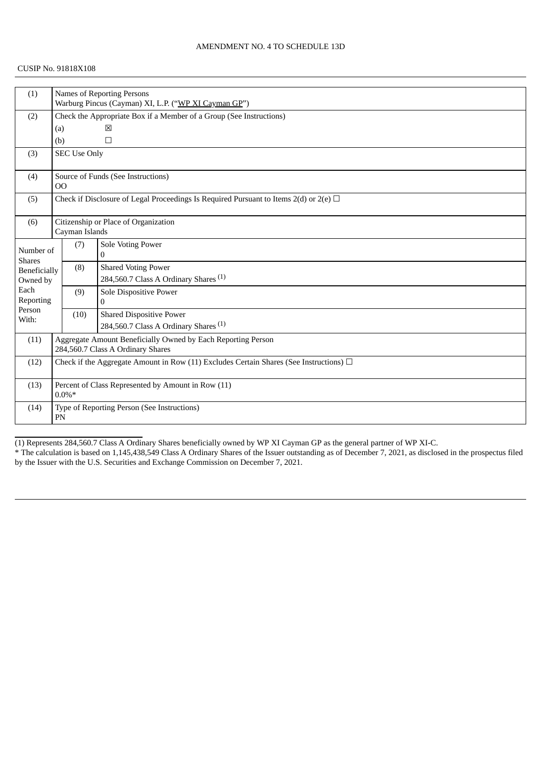| (1)                             |                                                                                                   | <b>Names of Reporting Persons</b><br>Warburg Pincus (Cayman) XI, L.P. ("WP XI Cayman GP") |                                                                                     |  |  |  |  |
|---------------------------------|---------------------------------------------------------------------------------------------------|-------------------------------------------------------------------------------------------|-------------------------------------------------------------------------------------|--|--|--|--|
| (2)                             |                                                                                                   | Check the Appropriate Box if a Member of a Group (See Instructions)                       |                                                                                     |  |  |  |  |
|                                 |                                                                                                   | 図<br>(a)                                                                                  |                                                                                     |  |  |  |  |
|                                 | (b)                                                                                               |                                                                                           | $\Box$                                                                              |  |  |  |  |
| (3)                             |                                                                                                   | <b>SEC Use Only</b>                                                                       |                                                                                     |  |  |  |  |
| (4)                             | 00                                                                                                |                                                                                           | Source of Funds (See Instructions)                                                  |  |  |  |  |
| (5)                             | Check if Disclosure of Legal Proceedings Is Required Pursuant to Items $2(d)$ or $2(e)$ $\Box$    |                                                                                           |                                                                                     |  |  |  |  |
| (6)                             | Citizenship or Place of Organization<br>Cayman Islands                                            |                                                                                           |                                                                                     |  |  |  |  |
| Number of<br><b>Shares</b>      |                                                                                                   | (7)                                                                                       | Sole Voting Power<br>$\mathbf{0}$                                                   |  |  |  |  |
| <b>Beneficially</b><br>Owned by |                                                                                                   | (8)                                                                                       | <b>Shared Voting Power</b><br>284,560.7 Class A Ordinary Shares <sup>(1)</sup>      |  |  |  |  |
| Each<br>Reporting               |                                                                                                   | (9)                                                                                       | Sole Dispositive Power<br>$\Omega$                                                  |  |  |  |  |
| Person<br>With:                 |                                                                                                   | (10)                                                                                      | <b>Shared Dispositive Power</b><br>284,560.7 Class A Ordinary Shares <sup>(1)</sup> |  |  |  |  |
| (11)                            | Aggregate Amount Beneficially Owned by Each Reporting Person<br>284,560.7 Class A Ordinary Shares |                                                                                           |                                                                                     |  |  |  |  |
| (12)                            | Check if the Aggregate Amount in Row (11) Excludes Certain Shares (See Instructions) $\Box$       |                                                                                           |                                                                                     |  |  |  |  |
| (13)                            | Percent of Class Represented by Amount in Row (11)<br>$0.0\%*$                                    |                                                                                           |                                                                                     |  |  |  |  |
| (14)                            | Type of Reporting Person (See Instructions)<br>PN                                                 |                                                                                           |                                                                                     |  |  |  |  |

(1) Represents 284,560.7 Class A Ordinary Shares beneficially owned by WP XI Cayman GP as the general partner of WP XI-C.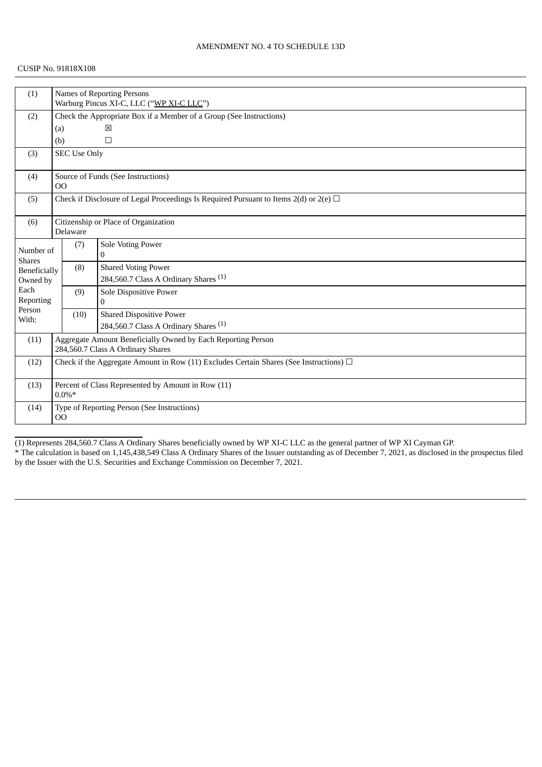| (1)                        |                                                                                                   | Names of Reporting Persons<br>Warburg Pincus XI-C, LLC ("WP XI-C LLC") |                                                  |  |  |  |
|----------------------------|---------------------------------------------------------------------------------------------------|------------------------------------------------------------------------|--------------------------------------------------|--|--|--|
| (2)                        |                                                                                                   | Check the Appropriate Box if a Member of a Group (See Instructions)    |                                                  |  |  |  |
|                            | (a)                                                                                               |                                                                        | 区                                                |  |  |  |
|                            | (b)                                                                                               |                                                                        | $\Box$                                           |  |  |  |
| (3)                        |                                                                                                   | <b>SEC Use Only</b>                                                    |                                                  |  |  |  |
| (4)                        | O <sub>O</sub>                                                                                    |                                                                        | Source of Funds (See Instructions)               |  |  |  |
| (5)                        | Check if Disclosure of Legal Proceedings Is Required Pursuant to Items $2(d)$ or $2(e)$ $\Box$    |                                                                        |                                                  |  |  |  |
| (6)                        | Citizenship or Place of Organization<br>Delaware                                                  |                                                                        |                                                  |  |  |  |
| Number of<br><b>Shares</b> |                                                                                                   | (7)                                                                    | Sole Voting Power<br>$\mathbf{0}$                |  |  |  |
| Beneficially               |                                                                                                   | (8)                                                                    | <b>Shared Voting Power</b>                       |  |  |  |
| Owned by                   |                                                                                                   |                                                                        | 284,560.7 Class A Ordinary Shares <sup>(1)</sup> |  |  |  |
| Each                       |                                                                                                   | (9)                                                                    | Sole Dispositive Power                           |  |  |  |
| Reporting<br>Person        |                                                                                                   |                                                                        | $\mathbf{0}$                                     |  |  |  |
| With:                      |                                                                                                   | (10)                                                                   | <b>Shared Dispositive Power</b>                  |  |  |  |
|                            |                                                                                                   |                                                                        | 284,560.7 Class A Ordinary Shares <sup>(1)</sup> |  |  |  |
| (11)                       | Aggregate Amount Beneficially Owned by Each Reporting Person<br>284,560.7 Class A Ordinary Shares |                                                                        |                                                  |  |  |  |
| (12)                       | Check if the Aggregate Amount in Row (11) Excludes Certain Shares (See Instructions) $\Box$       |                                                                        |                                                  |  |  |  |
| (13)                       | Percent of Class Represented by Amount in Row (11)<br>$0.0\%*$                                    |                                                                        |                                                  |  |  |  |
| (14)                       | Type of Reporting Person (See Instructions)<br>O <sub>O</sub>                                     |                                                                        |                                                  |  |  |  |

(1) Represents 284,560.7 Class A Ordinary Shares beneficially owned by WP XI-C LLC as the general partner of WP XI Cayman GP. \* The calculation is based on 1,145,438,549 Class A Ordinary Shares of the Issuer outstanding as of December 7, 2021, as disclosed in the prospectus filed by the Issuer with the U.S. Securities and Exchange Commission on December 7, 2021.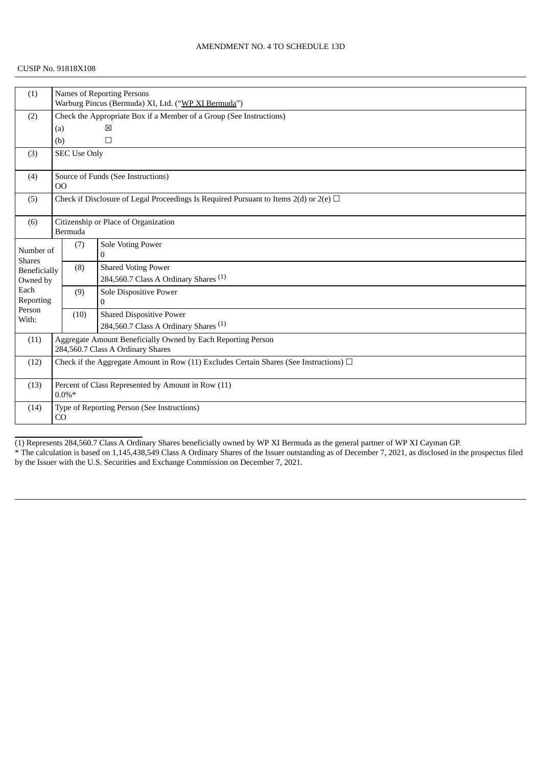| (1)                        | <b>Names of Reporting Persons</b>                                                              |                                                                     |                                                  |  |  |  |
|----------------------------|------------------------------------------------------------------------------------------------|---------------------------------------------------------------------|--------------------------------------------------|--|--|--|
|                            |                                                                                                | Warburg Pincus (Bermuda) XI, Ltd. ("WP XI Bermuda")                 |                                                  |  |  |  |
| (2)                        |                                                                                                | Check the Appropriate Box if a Member of a Group (See Instructions) |                                                  |  |  |  |
|                            | (a)                                                                                            |                                                                     | 区                                                |  |  |  |
|                            | (b)                                                                                            |                                                                     | $\Box$                                           |  |  |  |
| (3)                        |                                                                                                | <b>SEC Use Only</b>                                                 |                                                  |  |  |  |
| (4)                        | O <sub>O</sub>                                                                                 |                                                                     | Source of Funds (See Instructions)               |  |  |  |
| (5)                        | Check if Disclosure of Legal Proceedings Is Required Pursuant to Items $2(d)$ or $2(e)$ $\Box$ |                                                                     |                                                  |  |  |  |
| (6)                        | Citizenship or Place of Organization<br>Bermuda                                                |                                                                     |                                                  |  |  |  |
| Number of<br><b>Shares</b> |                                                                                                | (7)                                                                 | Sole Voting Power<br>$\mathbf{0}$                |  |  |  |
| Beneficially               |                                                                                                | (8)                                                                 | <b>Shared Voting Power</b>                       |  |  |  |
| Owned by                   |                                                                                                |                                                                     | 284,560.7 Class A Ordinary Shares <sup>(1)</sup> |  |  |  |
| Each                       |                                                                                                | (9)                                                                 | Sole Dispositive Power                           |  |  |  |
| Reporting                  |                                                                                                |                                                                     | $\mathbf{0}$                                     |  |  |  |
| Person<br>With:            |                                                                                                | (10)                                                                | <b>Shared Dispositive Power</b>                  |  |  |  |
|                            |                                                                                                |                                                                     | 284,560.7 Class A Ordinary Shares <sup>(1)</sup> |  |  |  |
| (11)                       | Aggregate Amount Beneficially Owned by Each Reporting Person                                   |                                                                     |                                                  |  |  |  |
|                            | 284,560.7 Class A Ordinary Shares                                                              |                                                                     |                                                  |  |  |  |
| (12)                       | Check if the Aggregate Amount in Row (11) Excludes Certain Shares (See Instructions) $\Box$    |                                                                     |                                                  |  |  |  |
| (13)                       | Percent of Class Represented by Amount in Row (11)<br>$0.0\%*$                                 |                                                                     |                                                  |  |  |  |
| (14)                       | Type of Reporting Person (See Instructions)<br>CO                                              |                                                                     |                                                  |  |  |  |

(1) Represents 284,560.7 Class A Ordinary Shares beneficially owned by WP XI Bermuda as the general partner of WP XI Cayman GP. \* The calculation is based on 1,145,438,549 Class A Ordinary Shares of the Issuer outstanding as of December 7, 2021, as disclosed in the prospectus filed by the Issuer with the U.S. Securities and Exchange Commission on December 7, 2021.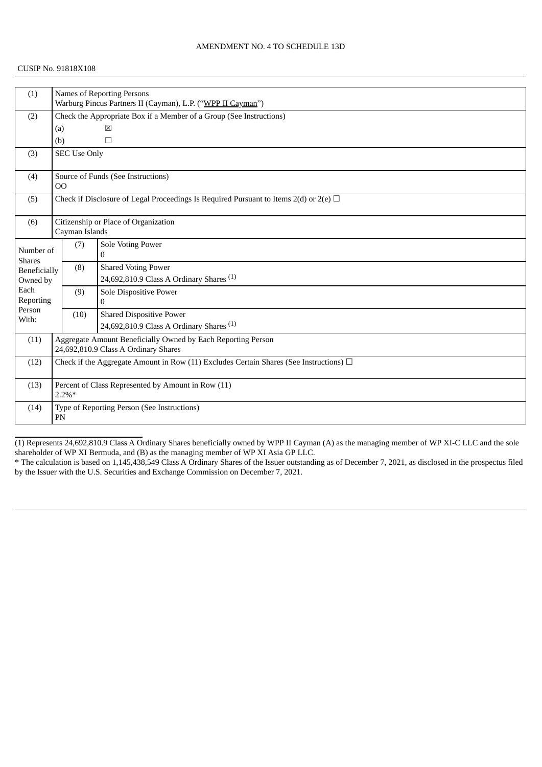| (1)                        |                                                                                                | <b>Names of Reporting Persons</b>                                   |                                                     |  |  |  |
|----------------------------|------------------------------------------------------------------------------------------------|---------------------------------------------------------------------|-----------------------------------------------------|--|--|--|
|                            |                                                                                                | Warburg Pincus Partners II (Cayman), L.P. ("WPP II Cayman")         |                                                     |  |  |  |
| (2)                        |                                                                                                | Check the Appropriate Box if a Member of a Group (See Instructions) |                                                     |  |  |  |
|                            | (a)                                                                                            |                                                                     | ⊠                                                   |  |  |  |
|                            | (b)                                                                                            |                                                                     | $\Box$                                              |  |  |  |
| (3)                        |                                                                                                | <b>SEC Use Only</b>                                                 |                                                     |  |  |  |
| (4)                        |                                                                                                | Source of Funds (See Instructions)<br>00                            |                                                     |  |  |  |
| (5)                        | Check if Disclosure of Legal Proceedings Is Required Pursuant to Items $2(d)$ or $2(e)$ $\Box$ |                                                                     |                                                     |  |  |  |
| (6)                        |                                                                                                | Citizenship or Place of Organization                                |                                                     |  |  |  |
|                            |                                                                                                | Cayman Islands                                                      |                                                     |  |  |  |
| Number of<br><b>Shares</b> |                                                                                                | (7)                                                                 | <b>Sole Voting Power</b><br>0                       |  |  |  |
| Beneficially               |                                                                                                | (8)                                                                 | <b>Shared Voting Power</b>                          |  |  |  |
| Owned by                   |                                                                                                |                                                                     | 24,692,810.9 Class A Ordinary Shares $(1)$          |  |  |  |
| Each                       |                                                                                                | (9)                                                                 | Sole Dispositive Power                              |  |  |  |
| Reporting                  |                                                                                                |                                                                     | $\mathbf{0}$                                        |  |  |  |
| Person<br>With:            |                                                                                                | (10)                                                                | <b>Shared Dispositive Power</b>                     |  |  |  |
|                            |                                                                                                |                                                                     | 24,692,810.9 Class A Ordinary Shares <sup>(1)</sup> |  |  |  |
| (11)                       | Aggregate Amount Beneficially Owned by Each Reporting Person                                   |                                                                     |                                                     |  |  |  |
|                            | 24,692,810.9 Class A Ordinary Shares                                                           |                                                                     |                                                     |  |  |  |
| (12)                       | Check if the Aggregate Amount in Row (11) Excludes Certain Shares (See Instructions) $\Box$    |                                                                     |                                                     |  |  |  |
| (13)                       | Percent of Class Represented by Amount in Row (11)<br>$2.2\%*$                                 |                                                                     |                                                     |  |  |  |
| (14)                       | Type of Reporting Person (See Instructions)<br>PN                                              |                                                                     |                                                     |  |  |  |

(1) Represents 24,692,810.9 Class A Ordinary Shares beneficially owned by WPP II Cayman (A) as the managing member of WP XI-C LLC and the sole shareholder of WP XI Bermuda, and (B) as the managing member of WP XI Asia GP LLC.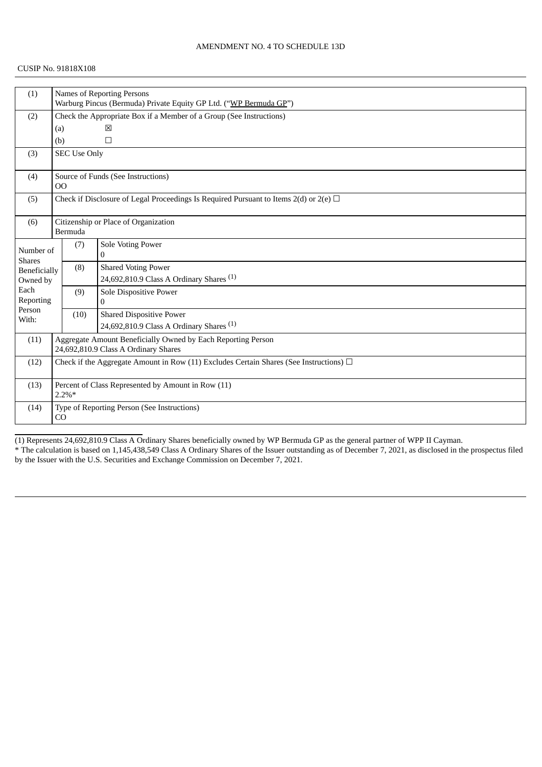### CUSIP No. 91818X108

| Names of Reporting Persons<br>(1) |                                                                                             |                                                                     |                                                     |  |  |  |
|-----------------------------------|---------------------------------------------------------------------------------------------|---------------------------------------------------------------------|-----------------------------------------------------|--|--|--|
|                                   |                                                                                             | Warburg Pincus (Bermuda) Private Equity GP Ltd. ("WP Bermuda GP")   |                                                     |  |  |  |
| (2)                               |                                                                                             | Check the Appropriate Box if a Member of a Group (See Instructions) |                                                     |  |  |  |
|                                   | (a)                                                                                         |                                                                     | ⊠                                                   |  |  |  |
|                                   | (b)                                                                                         |                                                                     | $\Box$                                              |  |  |  |
| (3)                               |                                                                                             | <b>SEC Use Only</b>                                                 |                                                     |  |  |  |
| (4)                               | 00                                                                                          |                                                                     | Source of Funds (See Instructions)                  |  |  |  |
| (5)                               | Check if Disclosure of Legal Proceedings Is Required Pursuant to Items 2(d) or 2(e) $\Box$  |                                                                     |                                                     |  |  |  |
| (6)                               | Citizenship or Place of Organization<br>Bermuda                                             |                                                                     |                                                     |  |  |  |
| Number of<br><b>Shares</b>        |                                                                                             | (7)                                                                 | Sole Voting Power<br>$\mathbf{0}$                   |  |  |  |
| Beneficially                      |                                                                                             | (8)                                                                 | <b>Shared Voting Power</b>                          |  |  |  |
| Owned by                          |                                                                                             |                                                                     | 24,692,810.9 Class A Ordinary Shares <sup>(1)</sup> |  |  |  |
| Each                              |                                                                                             | (9)                                                                 | Sole Dispositive Power                              |  |  |  |
| Reporting<br>Person               |                                                                                             |                                                                     | $\mathbf{0}$                                        |  |  |  |
| With:                             |                                                                                             | (10)                                                                | <b>Shared Dispositive Power</b>                     |  |  |  |
|                                   |                                                                                             |                                                                     | 24,692,810.9 Class A Ordinary Shares <sup>(1)</sup> |  |  |  |
| (11)                              | Aggregate Amount Beneficially Owned by Each Reporting Person                                |                                                                     |                                                     |  |  |  |
|                                   | 24,692,810.9 Class A Ordinary Shares                                                        |                                                                     |                                                     |  |  |  |
| (12)                              | Check if the Aggregate Amount in Row (11) Excludes Certain Shares (See Instructions) $\Box$ |                                                                     |                                                     |  |  |  |
| (13)                              |                                                                                             | $2.2\%*$                                                            | Percent of Class Represented by Amount in Row (11)  |  |  |  |
| (14)                              | Type of Reporting Person (See Instructions)<br>CO                                           |                                                                     |                                                     |  |  |  |

(1) Represents 24,692,810.9 Class A Ordinary Shares beneficially owned by WP Bermuda GP as the general partner of WPP II Cayman. \* The calculation is based on 1,145,438,549 Class A Ordinary Shares of the Issuer outstanding as of December 7, 2021, as disclosed in the prospectus filed by the Issuer with the U.S. Securities and Exchange Commission on December 7, 2021.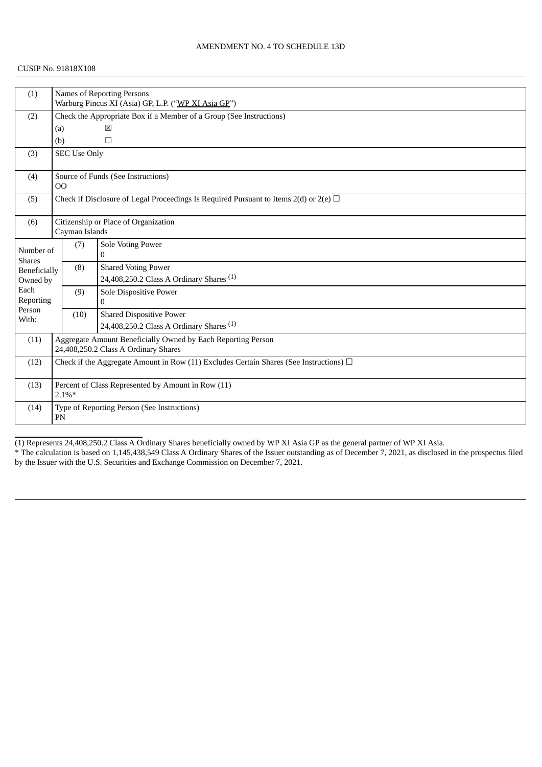| (1)                             |                                                                                                      | Names of Reporting Persons<br>Warburg Pincus XI (Asia) GP, L.P. ("WP XI Asia GP") |                                                                                   |  |  |  |  |
|---------------------------------|------------------------------------------------------------------------------------------------------|-----------------------------------------------------------------------------------|-----------------------------------------------------------------------------------|--|--|--|--|
| (2)                             |                                                                                                      | Check the Appropriate Box if a Member of a Group (See Instructions)               |                                                                                   |  |  |  |  |
|                                 |                                                                                                      | ⊠<br>(a)                                                                          |                                                                                   |  |  |  |  |
|                                 | (b)                                                                                                  |                                                                                   | $\Box$                                                                            |  |  |  |  |
| (3)                             |                                                                                                      | <b>SEC Use Only</b>                                                               |                                                                                   |  |  |  |  |
| (4)                             | 00                                                                                                   |                                                                                   | Source of Funds (See Instructions)                                                |  |  |  |  |
| (5)                             | Check if Disclosure of Legal Proceedings Is Required Pursuant to Items $2(d)$ or $2(e)$ $\Box$       |                                                                                   |                                                                                   |  |  |  |  |
| (6)                             | Citizenship or Place of Organization<br>Cayman Islands                                               |                                                                                   |                                                                                   |  |  |  |  |
| Number of<br><b>Shares</b>      |                                                                                                      | (7)                                                                               | Sole Voting Power<br>$\bf{0}$                                                     |  |  |  |  |
| <b>Beneficially</b><br>Owned by |                                                                                                      | (8)                                                                               | <b>Shared Voting Power</b><br>24,408,250.2 Class A Ordinary Shares <sup>(1)</sup> |  |  |  |  |
| Each<br>Reporting               |                                                                                                      | (9)                                                                               | Sole Dispositive Power<br>$\Omega$                                                |  |  |  |  |
| Person<br>With:                 |                                                                                                      | (10)                                                                              | <b>Shared Dispositive Power</b>                                                   |  |  |  |  |
|                                 |                                                                                                      |                                                                                   | 24,408,250.2 Class A Ordinary Shares <sup>(1)</sup>                               |  |  |  |  |
| (11)                            | Aggregate Amount Beneficially Owned by Each Reporting Person<br>24,408,250.2 Class A Ordinary Shares |                                                                                   |                                                                                   |  |  |  |  |
| (12)                            | Check if the Aggregate Amount in Row (11) Excludes Certain Shares (See Instructions) $\Box$          |                                                                                   |                                                                                   |  |  |  |  |
| (13)                            | Percent of Class Represented by Amount in Row (11)<br>$2.1\%*$                                       |                                                                                   |                                                                                   |  |  |  |  |
| (14)                            | Type of Reporting Person (See Instructions)<br>PN                                                    |                                                                                   |                                                                                   |  |  |  |  |

(1) Represents 24,408,250.2 Class A Ordinary Shares beneficially owned by WP XI Asia GP as the general partner of WP XI Asia.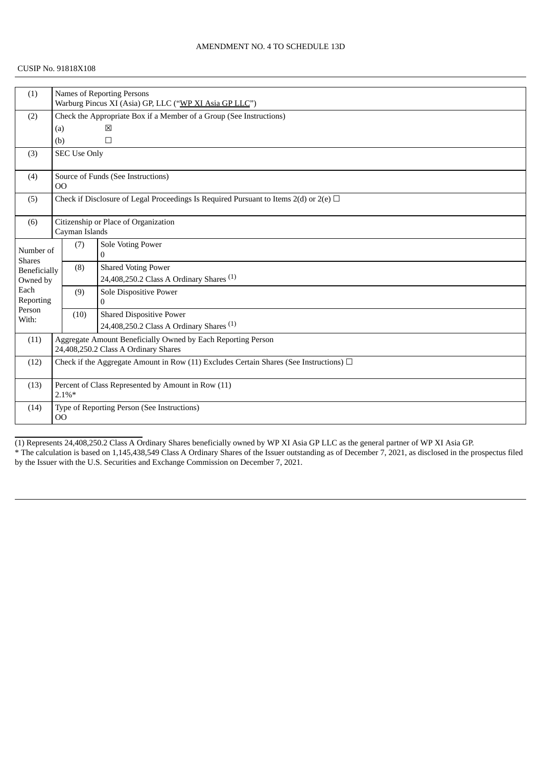| (1)                           |                                                                                                | Names of Reporting Persons                                          |                                                     |  |  |  |
|-------------------------------|------------------------------------------------------------------------------------------------|---------------------------------------------------------------------|-----------------------------------------------------|--|--|--|
|                               |                                                                                                | Warburg Pincus XI (Asia) GP, LLC ("WP XI Asia GP LLC")              |                                                     |  |  |  |
| (2)                           |                                                                                                | Check the Appropriate Box if a Member of a Group (See Instructions) |                                                     |  |  |  |
|                               | (a)                                                                                            |                                                                     | ⊠                                                   |  |  |  |
|                               | (b)                                                                                            |                                                                     | $\Box$                                              |  |  |  |
| (3)                           |                                                                                                | <b>SEC Use Only</b>                                                 |                                                     |  |  |  |
| (4)                           |                                                                                                | Source of Funds (See Instructions)<br>O <sub>O</sub>                |                                                     |  |  |  |
| (5)                           | Check if Disclosure of Legal Proceedings Is Required Pursuant to Items $2(d)$ or $2(e)$ $\Box$ |                                                                     |                                                     |  |  |  |
| (6)                           | Citizenship or Place of Organization<br>Cayman Islands                                         |                                                                     |                                                     |  |  |  |
|                               |                                                                                                |                                                                     |                                                     |  |  |  |
| Number of                     |                                                                                                | (7)                                                                 | Sole Voting Power<br>$\bf{0}$                       |  |  |  |
| <b>Shares</b><br>Beneficially |                                                                                                | (8)                                                                 | <b>Shared Voting Power</b>                          |  |  |  |
| Owned by                      |                                                                                                |                                                                     | 24,408,250.2 Class A Ordinary Shares <sup>(1)</sup> |  |  |  |
| Each                          |                                                                                                | (9)                                                                 | Sole Dispositive Power                              |  |  |  |
| Reporting                     |                                                                                                |                                                                     | $\mathbf{0}$                                        |  |  |  |
| Person<br>With:               |                                                                                                | (10)                                                                | <b>Shared Dispositive Power</b>                     |  |  |  |
|                               |                                                                                                |                                                                     | 24,408,250.2 Class A Ordinary Shares <sup>(1)</sup> |  |  |  |
| (11)                          | Aggregate Amount Beneficially Owned by Each Reporting Person                                   |                                                                     |                                                     |  |  |  |
|                               | 24,408,250.2 Class A Ordinary Shares                                                           |                                                                     |                                                     |  |  |  |
| (12)                          | Check if the Aggregate Amount in Row (11) Excludes Certain Shares (See Instructions) $\Box$    |                                                                     |                                                     |  |  |  |
| (13)                          | Percent of Class Represented by Amount in Row (11)<br>$2.1\%*$                                 |                                                                     |                                                     |  |  |  |
|                               |                                                                                                |                                                                     |                                                     |  |  |  |
| (14)                          | Type of Reporting Person (See Instructions)<br>00                                              |                                                                     |                                                     |  |  |  |

(1) Represents 24,408,250.2 Class A Ordinary Shares beneficially owned by WP XI Asia GP LLC as the general partner of WP XI Asia GP. \* The calculation is based on 1,145,438,549 Class A Ordinary Shares of the Issuer outstanding as of December 7, 2021, as disclosed in the prospectus filed by the Issuer with the U.S. Securities and Exchange Commission on December 7, 2021.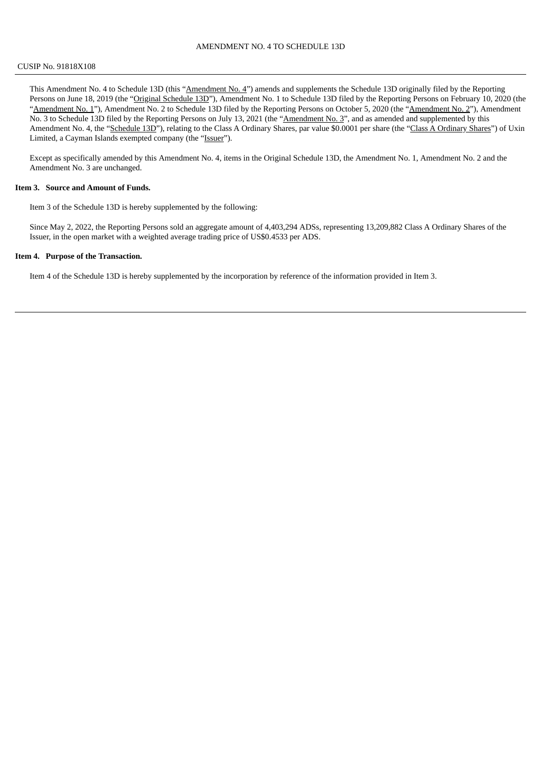This Amendment No. 4 to Schedule 13D (this "Amendment No. 4") amends and supplements the Schedule 13D originally filed by the Reporting Persons on June 18, 2019 (the "Original Schedule 13D"), Amendment No. 1 to Schedule 13D filed by the Reporting Persons on February 10, 2020 (the "Amendment No. 1"), Amendment No. 2 to Schedule 13D filed by the Reporting Persons on October 5, 2020 (the "Amendment No. 2"), Amendment No. 3 to Schedule 13D filed by the Reporting Persons on July 13, 2021 (the "Amendment No. 3", and as amended and supplemented by this Amendment No. 4, the "Schedule 13D"), relating to the Class A Ordinary Shares, par value \$0.0001 per share (the "Class A Ordinary Shares") of Uxin Limited, a Cayman Islands exempted company (the "Issuer").

Except as specifically amended by this Amendment No. 4, items in the Original Schedule 13D, the Amendment No. 1, Amendment No. 2 and the Amendment No. 3 are unchanged.

#### **Item 3. Source and Amount of Funds.**

Item 3 of the Schedule 13D is hereby supplemented by the following:

Since May 2, 2022, the Reporting Persons sold an aggregate amount of 4,403,294 ADSs, representing 13,209,882 Class A Ordinary Shares of the Issuer, in the open market with a weighted average trading price of US\$0.4533 per ADS.

#### **Item 4. Purpose of the Transaction.**

Item 4 of the Schedule 13D is hereby supplemented by the incorporation by reference of the information provided in Item 3.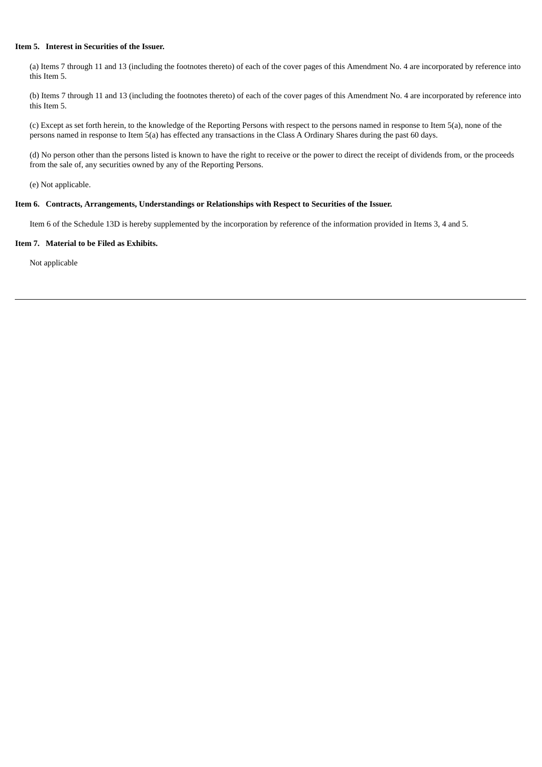### **Item 5. Interest in Securities of the Issuer.**

(a) Items 7 through 11 and 13 (including the footnotes thereto) of each of the cover pages of this Amendment No. 4 are incorporated by reference into this Item 5.

(b) Items 7 through 11 and 13 (including the footnotes thereto) of each of the cover pages of this Amendment No. 4 are incorporated by reference into this Item 5.

(c) Except as set forth herein, to the knowledge of the Reporting Persons with respect to the persons named in response to Item 5(a), none of the persons named in response to Item 5(a) has effected any transactions in the Class A Ordinary Shares during the past 60 days.

(d) No person other than the persons listed is known to have the right to receive or the power to direct the receipt of dividends from, or the proceeds from the sale of, any securities owned by any of the Reporting Persons.

(e) Not applicable.

### **Item 6. Contracts, Arrangements, Understandings or Relationships with Respect to Securities of the Issuer.**

Item 6 of the Schedule 13D is hereby supplemented by the incorporation by reference of the information provided in Items 3, 4 and 5.

#### **Item 7. Material to be Filed as Exhibits.**

Not applicable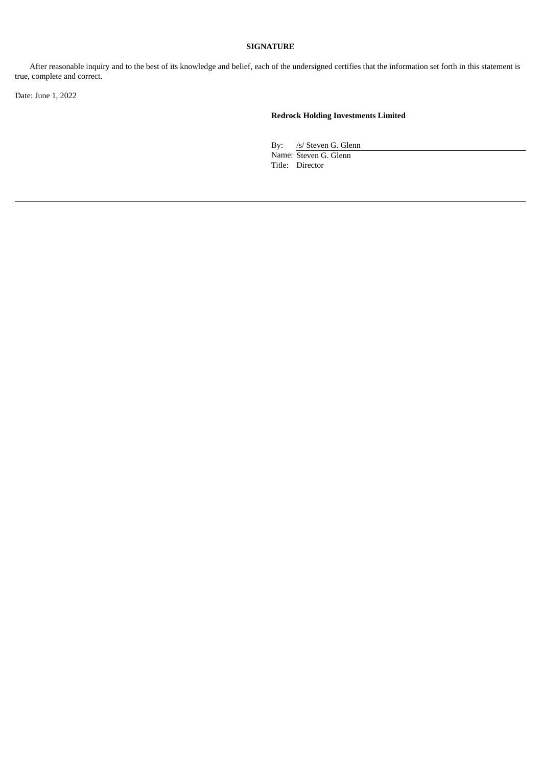After reasonable inquiry and to the best of its knowledge and belief, each of the undersigned certifies that the information set forth in this statement is true, complete and correct.

Date: June 1, 2022

# **Redrock Holding Investments Limited**

By: /s/ Steven G. Glenn Name: Steven G. Glenn Title: Director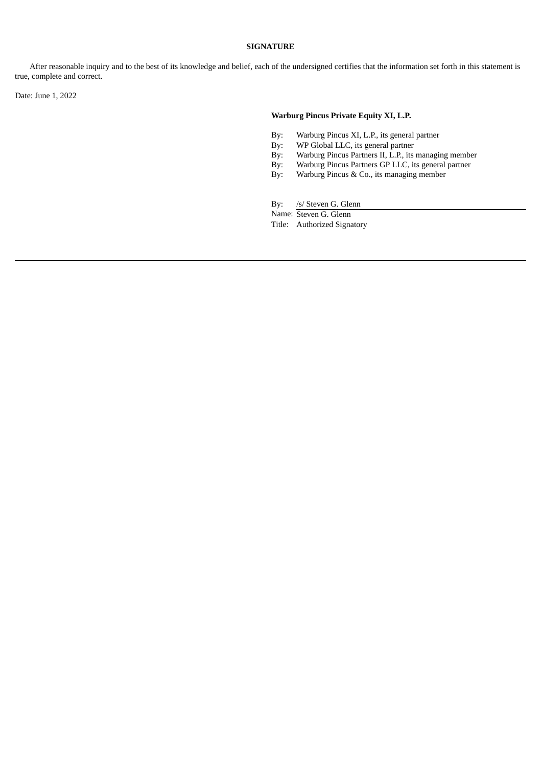After reasonable inquiry and to the best of its knowledge and belief, each of the undersigned certifies that the information set forth in this statement is true, complete and correct.

Date: June 1, 2022

### **Warburg Pincus Private Equity XI, L.P.**

- By: Warburg Pincus XI, L.P., its general partner
- By: WP Global LLC, its general partner<br>By: Warburg Pincus Partners II, L.P., its
- By: Warburg Pincus Partners II, L.P., its managing member<br>By: Warburg Pincus Partners GP LLC, its general partner
- Warburg Pincus Partners GP LLC, its general partner
- By: Warburg Pincus & Co., its managing member

By: /s/ Steven G. Glenn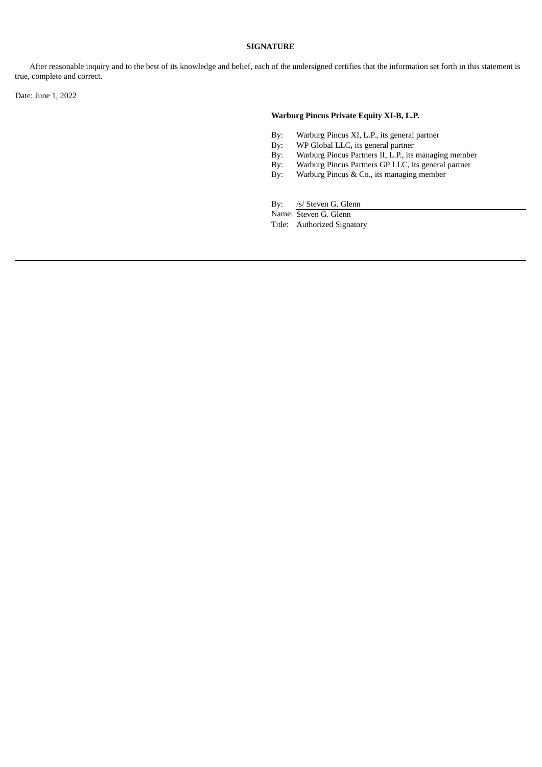After reasonable inquiry and to the best of its knowledge and belief, each of the undersigned certifies that the information set forth in this statement is true, complete and correct.

Date: June 1, 2022

### **Warburg Pincus Private Equity XI-B, L.P.**

- By: Warburg Pincus XI, L.P., its general partner
- By: WP Global LLC, its general partner<br>By: Warburg Pincus Partners II, L.P., its
- By: Warburg Pincus Partners II, L.P., its managing member<br>By: Warburg Pincus Partners GP LLC, its general partner
- Warburg Pincus Partners GP LLC, its general partner
- By: Warburg Pincus & Co., its managing member

By: /s/ Steven G. Glenn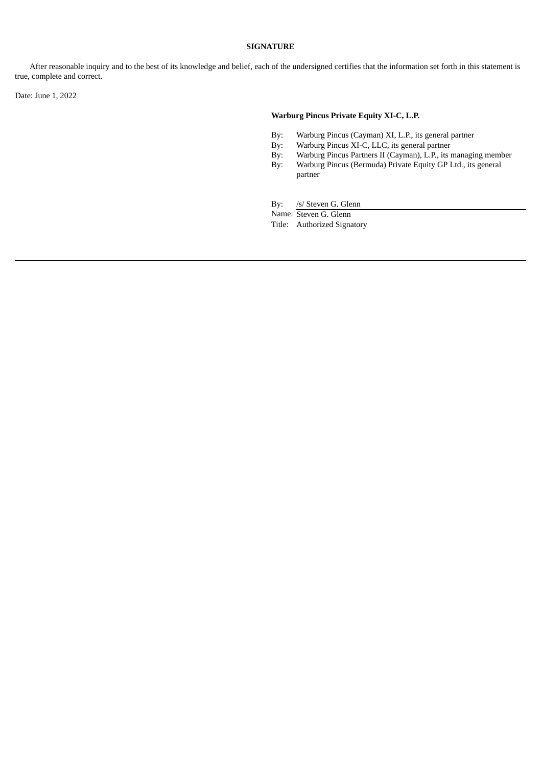After reasonable inquiry and to the best of its knowledge and belief, each of the undersigned certifies that the information set forth in this statement is true, complete and correct.

Date: June 1, 2022

### **Warburg Pincus Private Equity XI-C, L.P.**

- By: Warburg Pincus (Cayman) XI, L.P., its general partner
- By: Warburg Pincus XI-C, LLC, its general partner<br>By: Warburg Pincus Partners II (Cayman), L.P., its I
- By: Warburg Pincus Partners II (Cayman), L.P., its managing member By: Warburg Pincus (Bermuda) Private Equity GP Ltd., its general Warburg Pincus (Bermuda) Private Equity GP Ltd., its general
- partner

By: /s/ Steven G. Glenn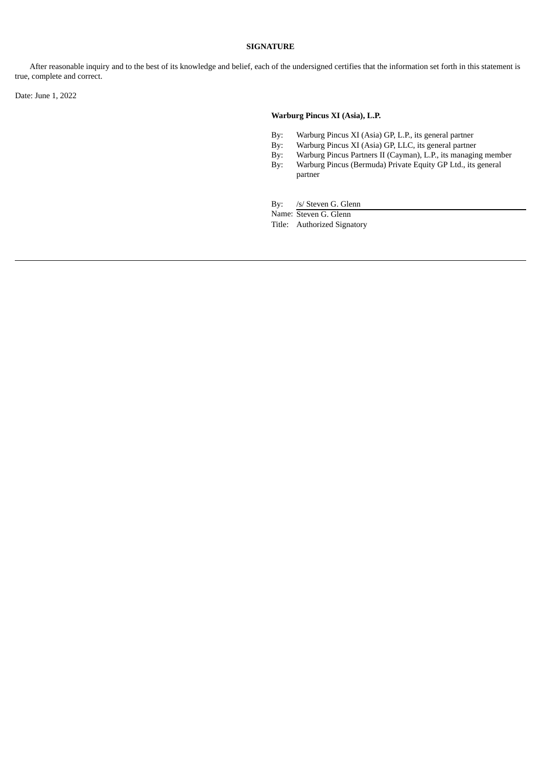After reasonable inquiry and to the best of its knowledge and belief, each of the undersigned certifies that the information set forth in this statement is true, complete and correct.

Date: June 1, 2022

### **Warburg Pincus XI (Asia), L.P.**

- By: Warburg Pincus XI (Asia) GP, L.P., its general partner
- By: Warburg Pincus XI (Asia) GP, LLC, its general partner<br>By: Warburg Pincus Partners II (Cayman), L.P., its managir
- By: Warburg Pincus Partners II (Cayman), L.P., its managing member By: Warburg Pincus (Bermuda) Private Equity GP Ltd., its general
- Warburg Pincus (Bermuda) Private Equity GP Ltd., its general partner

By: /s/ Steven G. Glenn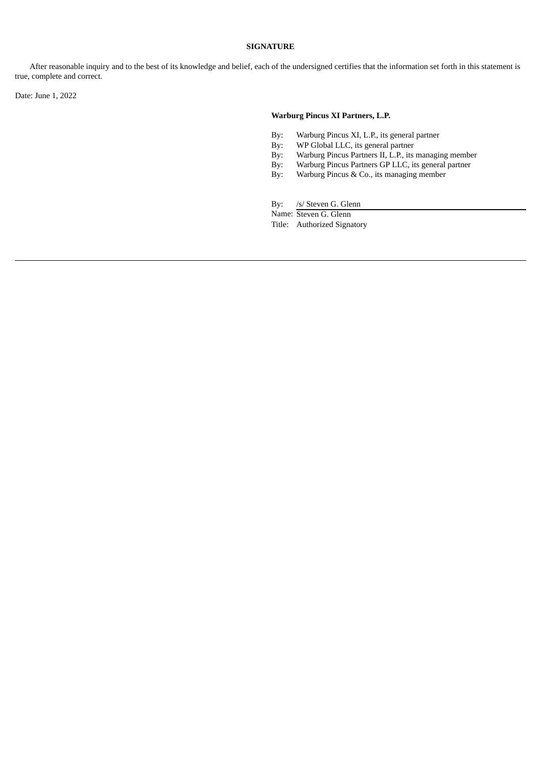After reasonable inquiry and to the best of its knowledge and belief, each of the undersigned certifies that the information set forth in this statement is true, complete and correct.

Date: June 1, 2022

### **Warburg Pincus XI Partners, L.P.**

- By: Warburg Pincus XI, L.P., its general partner
- By: WP Global LLC, its general partner<br>By: Warburg Pincus Partners II, L.P., its
- By: Warburg Pincus Partners II, L.P., its managing member<br>By: Warburg Pincus Partners GP LLC, its general partner
- Warburg Pincus Partners GP LLC, its general partner
- By: Warburg Pincus & Co., its managing member

By: /s/ Steven G. Glenn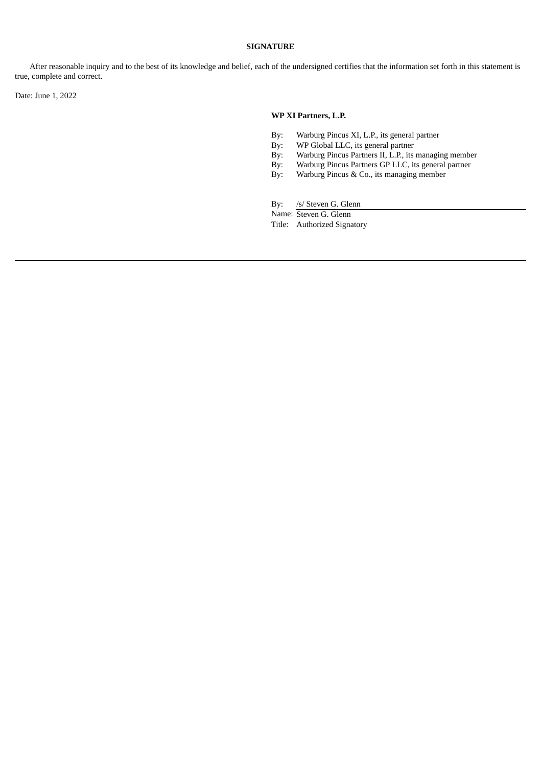After reasonable inquiry and to the best of its knowledge and belief, each of the undersigned certifies that the information set forth in this statement is true, complete and correct.

Date: June 1, 2022

### **WP XI Partners, L.P.**

- By: Warburg Pincus XI, L.P., its general partner
- By: WP Global LLC, its general partner
- By: Warburg Pincus Partners II, L.P., its managing member<br>By: Warburg Pincus Partners GP LLC, its general partner
- Warburg Pincus Partners GP LLC, its general partner
- By: Warburg Pincus & Co., its managing member

By: /s/ Steven G. Glenn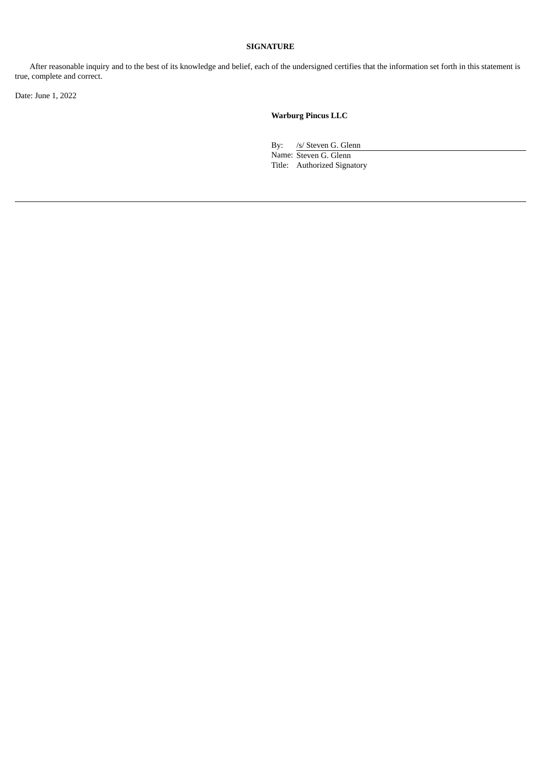After reasonable inquiry and to the best of its knowledge and belief, each of the undersigned certifies that the information set forth in this statement is true, complete and correct.

Date: June 1, 2022

**Warburg Pincus LLC**

By: /s/ Steven G. Glenn Name: Steven G. Glenn Title: Authorized Signatory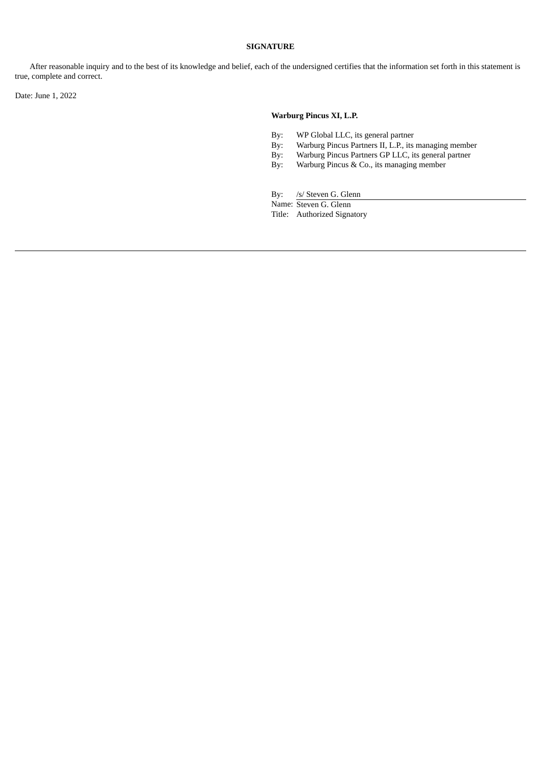After reasonable inquiry and to the best of its knowledge and belief, each of the undersigned certifies that the information set forth in this statement is true, complete and correct.

Date: June 1, 2022

### **Warburg Pincus XI, L.P.**

- By: WP Global LLC, its general partner
- By: Warburg Pincus Partners II, L.P., its managing member<br>By: Warburg Pincus Partners GP LLC, its general partner
- By: Warburg Pincus Partners GP LLC, its general partner<br>By: Warburg Pincus & Co., its managing member
- Warburg Pincus & Co., its managing member

By: /s/ Steven G. Glenn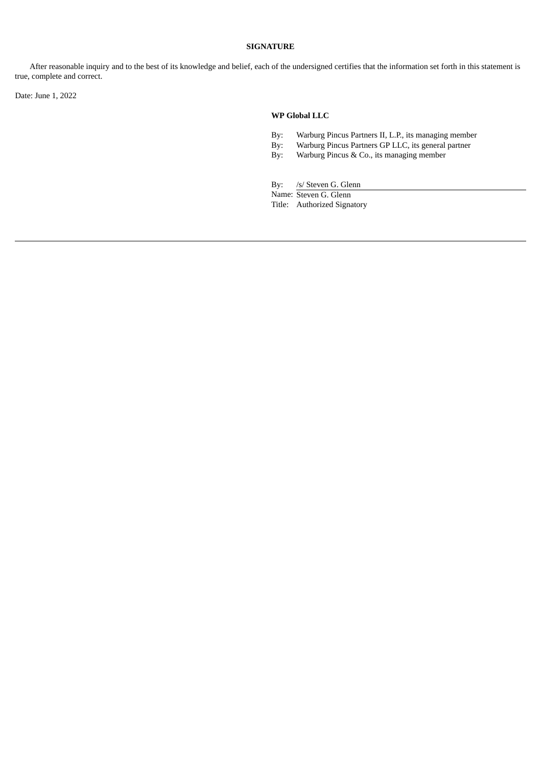After reasonable inquiry and to the best of its knowledge and belief, each of the undersigned certifies that the information set forth in this statement is true, complete and correct.

Date: June 1, 2022

### **WP Global LLC**

- By: Warburg Pincus Partners II, L.P., its managing member
- By: Warburg Pincus Partners GP LLC, its general partner<br>By: Warburg Pincus & Co., its managing member
- Warburg Pincus & Co., its managing member

By: /s/ Steven G. Glenn

Name: Steven G. Glenn

Title: Authorized Signatory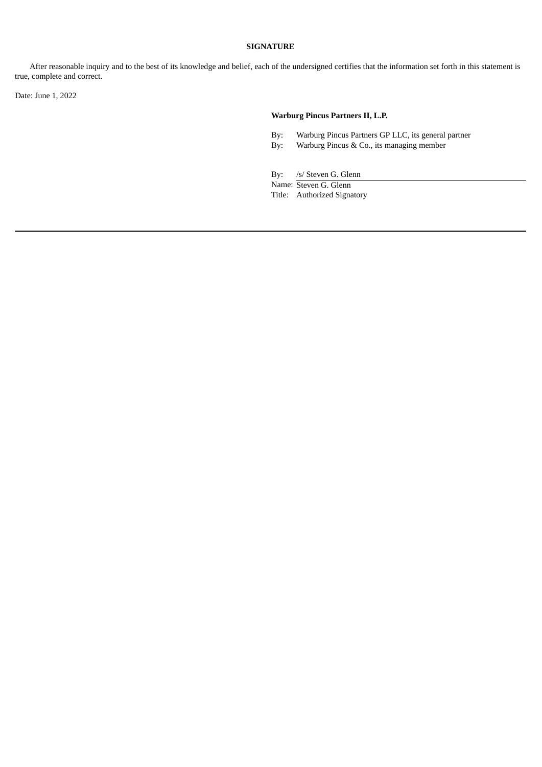After reasonable inquiry and to the best of its knowledge and belief, each of the undersigned certifies that the information set forth in this statement is true, complete and correct.

Date: June 1, 2022

### **Warburg Pincus Partners II, L.P.**

- By: Warburg Pincus Partners GP LLC, its general partner
- By: Warburg Pincus & Co., its managing member

By: /s/ Steven G. Glenn Name: Steven G. Glenn Title: Authorized Signatory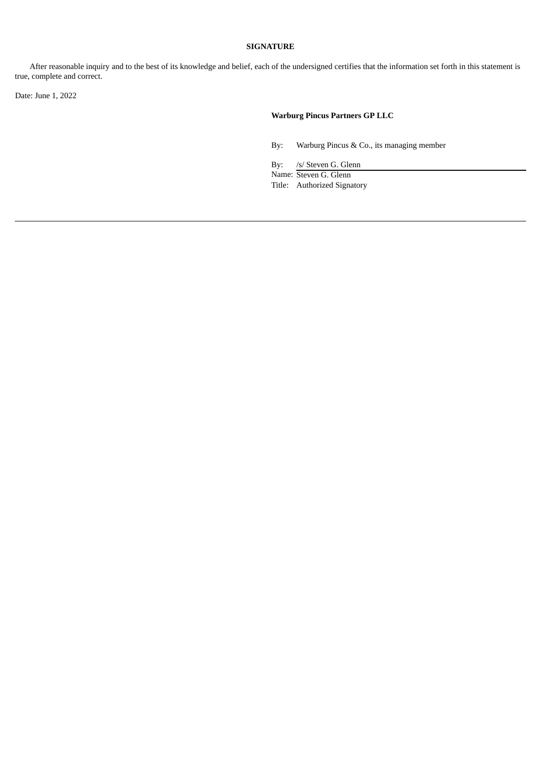After reasonable inquiry and to the best of its knowledge and belief, each of the undersigned certifies that the information set forth in this statement is true, complete and correct.

Date: June 1, 2022

# **Warburg Pincus Partners GP LLC**

By: Warburg Pincus & Co., its managing member

By: /s/ Steven G. Glenn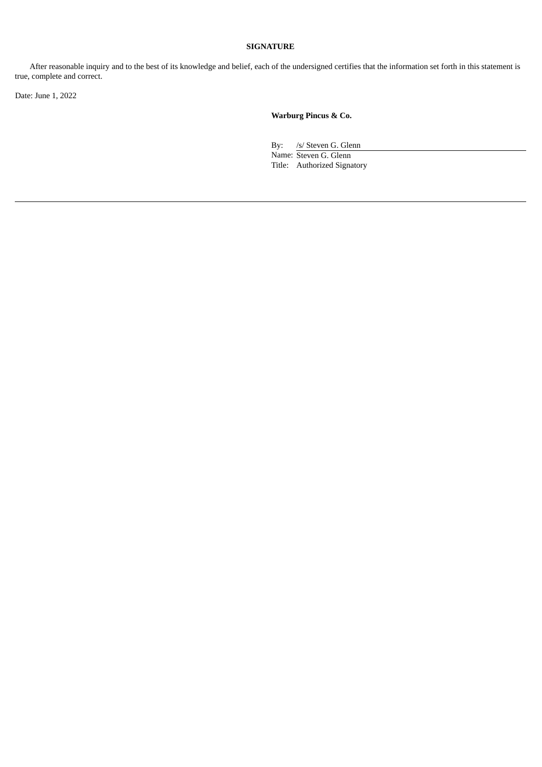After reasonable inquiry and to the best of its knowledge and belief, each of the undersigned certifies that the information set forth in this statement is true, complete and correct.

Date: June 1, 2022

**Warburg Pincus & Co.**

By: /s/ Steven G. Glenn Name: Steven G. Glenn Title: Authorized Signatory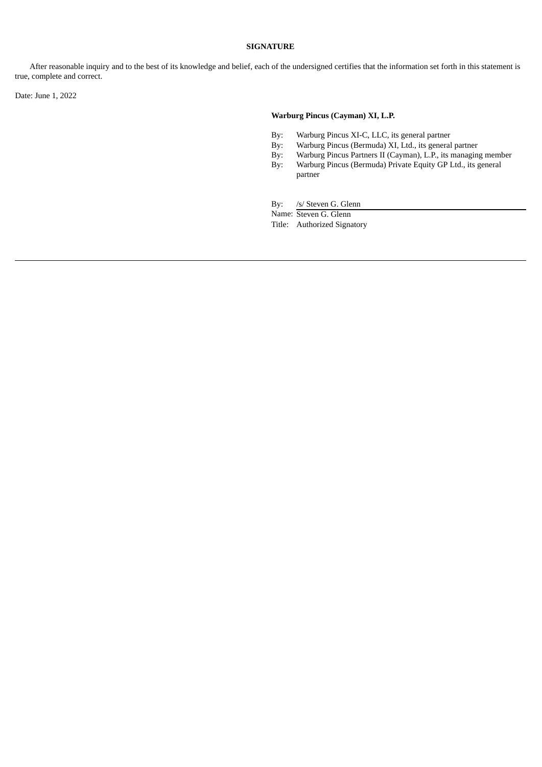After reasonable inquiry and to the best of its knowledge and belief, each of the undersigned certifies that the information set forth in this statement is true, complete and correct.

Date: June 1, 2022

### **Warburg Pincus (Cayman) XI, L.P.**

- By: Warburg Pincus XI-C, LLC, its general partner
- By: Warburg Pincus (Bermuda) XI, Ltd., its general partner<br>By: Warburg Pincus Partners II (Cayman), L.P., its managin
- By: Warburg Pincus Partners II (Cayman), L.P., its managing member By: Warburg Pincus (Bermuda) Private Equity GP Ltd., its general
- Warburg Pincus (Bermuda) Private Equity GP Ltd., its general partner

By: /s/ Steven G. Glenn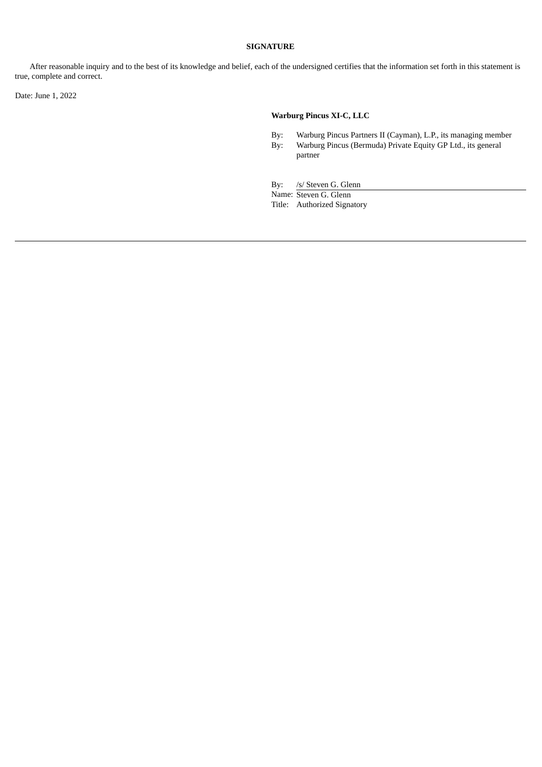After reasonable inquiry and to the best of its knowledge and belief, each of the undersigned certifies that the information set forth in this statement is true, complete and correct.

Date: June 1, 2022

# **Warburg Pincus XI-C, LLC**

By: Warburg Pincus Partners II (Cayman), L.P., its managing member By: Warburg Pincus (Bermuda) Private Equity GP Ltd., its general Warburg Pincus (Bermuda) Private Equity GP Ltd., its general partner

By: /s/ Steven G. Glenn

Name: Steven G. Glenn

Title: Authorized Signatory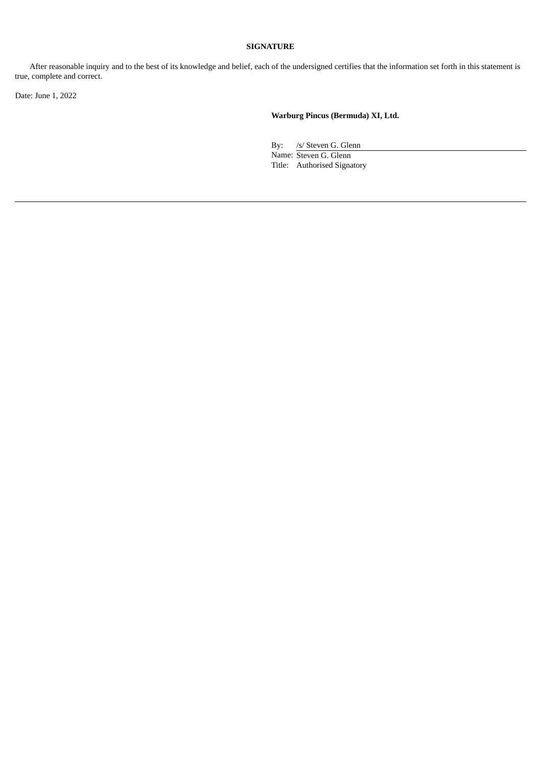After reasonable inquiry and to the best of its knowledge and belief, each of the undersigned certifies that the information set forth in this statement is true, complete and correct.

Date: June 1, 2022

**Warburg Pincus (Bermuda) XI, Ltd.**

By: /s/ Steven G. Glenn Name: Steven G. Glenn

Title: Authorised Signatory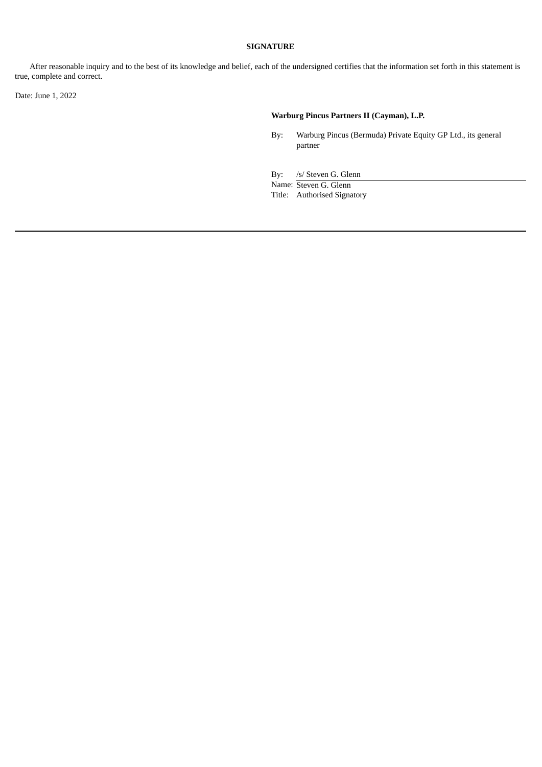After reasonable inquiry and to the best of its knowledge and belief, each of the undersigned certifies that the information set forth in this statement is true, complete and correct.

Date: June 1, 2022

# **Warburg Pincus Partners II (Cayman), L.P.**

By: Warburg Pincus (Bermuda) Private Equity GP Ltd., its general partner

By: /s/ Steven G. Glenn Name: Steven G. Glenn Title: Authorised Signatory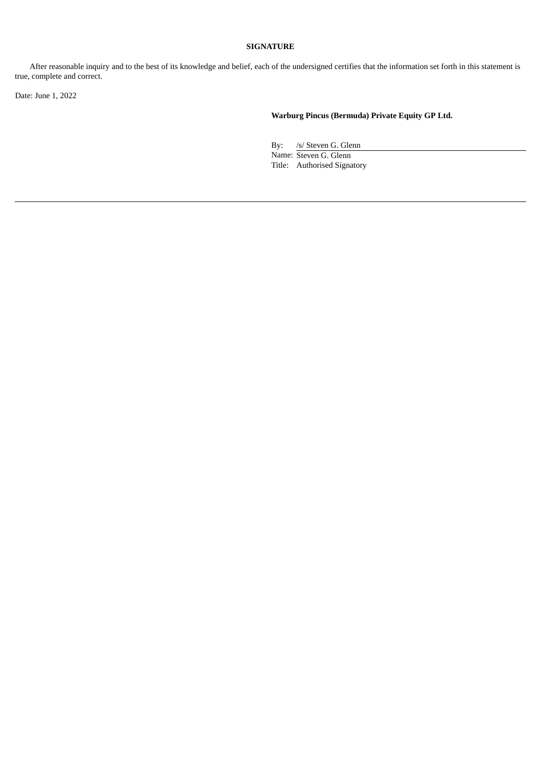After reasonable inquiry and to the best of its knowledge and belief, each of the undersigned certifies that the information set forth in this statement is true, complete and correct.

Date: June 1, 2022

**Warburg Pincus (Bermuda) Private Equity GP Ltd.**

By: /s/ Steven G. Glenn Name: Steven G. Glenn Title: Authorised Signatory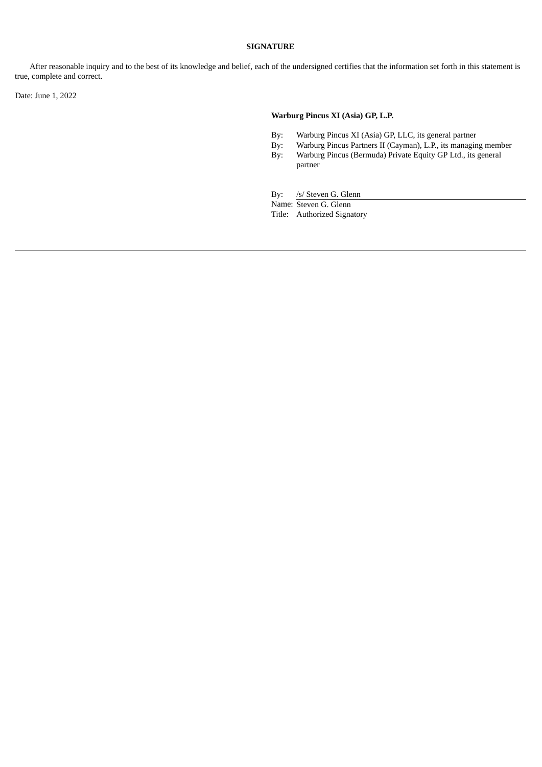After reasonable inquiry and to the best of its knowledge and belief, each of the undersigned certifies that the information set forth in this statement is true, complete and correct.

Date: June 1, 2022

# **Warburg Pincus XI (Asia) GP, L.P.**

- By: Warburg Pincus XI (Asia) GP, LLC, its general partner
- 
- By: Warburg Pincus Partners II (Cayman), L.P., its managing member<br>By: Warburg Pincus (Bermuda) Private Equity GP Ltd., its general Warburg Pincus (Bermuda) Private Equity GP Ltd., its general partner

By: /s/ Steven G. Glenn